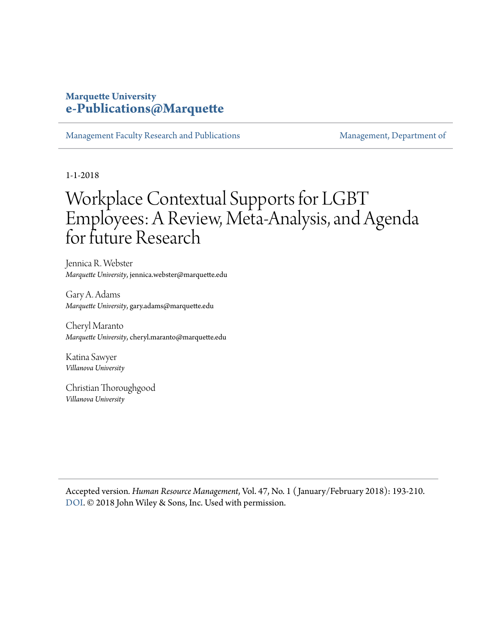## **Marquette University [e-Publications@Marquette](https://epublications.marquette.edu)**

[Management Faculty Research and Publications](https://epublications.marquette.edu/mgmt_fac) [Management, Department of](https://epublications.marquette.edu/mgmt)

1-1-2018

# Workplace Contextual Supports for LGBT Employees: A Review, Meta‐Analysis, and Agenda for future Research

Jennica R. Webster *Marquette University*, jennica.webster@marquette.edu

Gary A. Adams *Marquette University*, gary.adams@marquette.edu

Cheryl Maranto *Marquette University*, cheryl.maranto@marquette.edu

Katina Sawyer *Villanova University*

Christian Thoroughgood *Villanova University*

Accepted version*. Human Resource Management*, Vol. 47, No. 1 ( January/February 2018): 193-210. [DOI](https://doi.org/10.1002/hrm.21873). © 2018 John Wiley & Sons, Inc. Used with permission.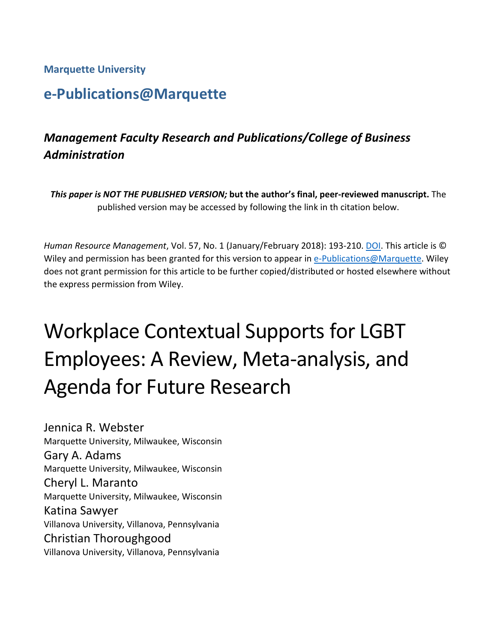**Marquette University**

# **e-Publications@Marquette**

## *Management Faculty Research and Publications/College of Business Administration*

*This paper is NOT THE PUBLISHED VERSION;* **but the author's final, peer-reviewed manuscript.** The published version may be accessed by following the link in th citation below.

*Human Resource Management*, Vol. 57, No. 1 (January/February 2018): 193-210. [DOI.](https://doi.org/10.1002/hrm.21873) This article is © Wiley and permission has been granted for this version to appear in [e-Publications@Marquette.](http://epublications.marquette.edu/) Wiley does not grant permission for this article to be further copied/distributed or hosted elsewhere without the express permission from Wiley.

# Workplace Contextual Supports for LGBT Employees: A Review, Meta-analysis, and Agenda for Future Research

Jennica R. Webster Marquette University, Milwaukee, Wisconsin Gary A. Adams Marquette University, Milwaukee, Wisconsin Cheryl L. Maranto Marquette University, Milwaukee, Wisconsin Katina Sawyer Villanova University, Villanova, Pennsylvania Christian Thoroughgood Villanova University, Villanova, Pennsylvania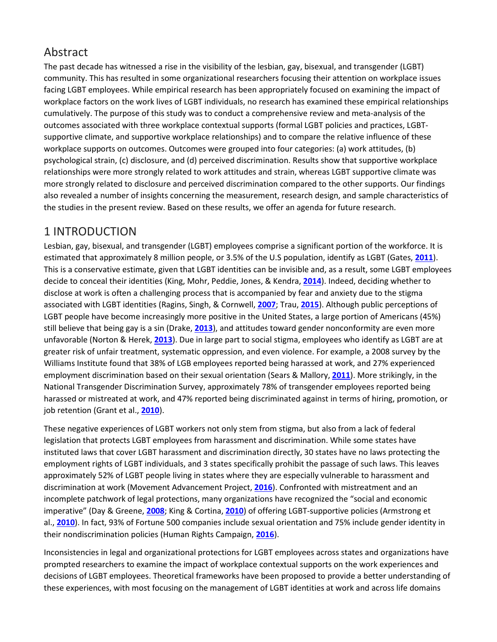## Abstract

The past decade has witnessed a rise in the visibility of the lesbian, gay, bisexual, and transgender (LGBT) community. This has resulted in some organizational researchers focusing their attention on workplace issues facing LGBT employees. While empirical research has been appropriately focused on examining the impact of workplace factors on the work lives of LGBT individuals, no research has examined these empirical relationships cumulatively. The purpose of this study was to conduct a comprehensive review and meta-analysis of the outcomes associated with three workplace contextual supports (formal LGBT policies and practices, LGBTsupportive climate, and supportive workplace relationships) and to compare the relative influence of these workplace supports on outcomes. Outcomes were grouped into four categories: (a) work attitudes, (b) psychological strain, (c) disclosure, and (d) perceived discrimination. Results show that supportive workplace relationships were more strongly related to work attitudes and strain, whereas LGBT supportive climate was more strongly related to disclosure and perceived discrimination compared to the other supports. Our findings also revealed a number of insights concerning the measurement, research design, and sample characteristics of the studies in the present review. Based on these results, we offer an agenda for future research.

## 1 INTRODUCTION

Lesbian, gay, bisexual, and transgender (LGBT) employees comprise a significant portion of the workforce. It is estimated that approximately 8 million people, or 3.5% of the U.S population, identify as LGBT (Gates, **[2011](https://onlinelibrary.wiley.com/doi/full/10.1002/hrm.21873#hrm21873-bib-0053)**). This is a conservative estimate, given that LGBT identities can be invisible and, as a result, some LGBT employees decide to conceal their identities (King, Mohr, Peddie, Jones, & Kendra, **[2014](https://onlinelibrary.wiley.com/doi/full/10.1002/hrm.21873#hrm21873-bib-0078)**). Indeed, deciding whether to disclose at work is often a challenging process that is accompanied by fear and anxiety due to the stigma associated with LGBT identities (Ragins, Singh, & Cornwell, **[2007](https://onlinelibrary.wiley.com/doi/full/10.1002/hrm.21873#hrm21873-bib-0113)**; Trau, **[2015](https://onlinelibrary.wiley.com/doi/full/10.1002/hrm.21873#hrm21873-bib-0131)**). Although public perceptions of LGBT people have become increasingly more positive in the United States, a large portion of Americans (45%) still believe that being gay is a sin (Drake, **[2013](https://onlinelibrary.wiley.com/doi/full/10.1002/hrm.21873#hrm21873-bib-0040)**), and attitudes toward gender nonconformity are even more unfavorable (Norton & Herek, **[2013](https://onlinelibrary.wiley.com/doi/full/10.1002/hrm.21873#hrm21873-bib-0099)**). Due in large part to social stigma, employees who identify as LGBT are at greater risk of unfair treatment, systematic oppression, and even violence. For example, a 2008 survey by the Williams Institute found that 38% of LGB employees reported being harassed at work, and 27% experienced employment discrimination based on their sexual orientation (Sears & Mallory, **[2011](https://onlinelibrary.wiley.com/doi/full/10.1002/hrm.21873#hrm21873-bib-0123)**). More strikingly, in the National Transgender Discrimination Survey, approximately 78% of transgender employees reported being harassed or mistreated at work, and 47% reported being discriminated against in terms of hiring, promotion, or job retention (Grant et al., **[2010](https://onlinelibrary.wiley.com/doi/full/10.1002/hrm.21873#hrm21873-bib-0055)**).

These negative experiences of LGBT workers not only stem from stigma, but also from a lack of federal legislation that protects LGBT employees from harassment and discrimination. While some states have instituted laws that cover LGBT harassment and discrimination directly, 30 states have no laws protecting the employment rights of LGBT individuals, and 3 states specifically prohibit the passage of such laws. This leaves approximately 52% of LGBT people living in states where they are especially vulnerable to harassment and discrimination at work (Movement Advancement Project, **[2016](https://onlinelibrary.wiley.com/doi/full/10.1002/hrm.21873#hrm21873-bib-0143)**). Confronted with mistreatment and an incomplete patchwork of legal protections, many organizations have recognized the "social and economic imperative" (Day & Greene, **[2008](https://onlinelibrary.wiley.com/doi/full/10.1002/hrm.21873#hrm21873-bib-0037)**; King & Cortina, **[2010](https://onlinelibrary.wiley.com/doi/full/10.1002/hrm.21873#hrm21873-bib-0077)**) of offering LGBT-supportive policies (Armstrong et al., **[2010](https://onlinelibrary.wiley.com/doi/full/10.1002/hrm.21873#hrm21873-bib-0006)**). In fact, 93% of Fortune 500 companies include sexual orientation and 75% include gender identity in their nondiscrimination policies (Human Rights Campaign, **[2016](https://onlinelibrary.wiley.com/doi/full/10.1002/hrm.21873#hrm21873-bib-0065)**).

Inconsistencies in legal and organizational protections for LGBT employees across states and organizations have prompted researchers to examine the impact of workplace contextual supports on the work experiences and decisions of LGBT employees. Theoretical frameworks have been proposed to provide a better understanding of these experiences, with most focusing on the management of LGBT identities at work and across life domains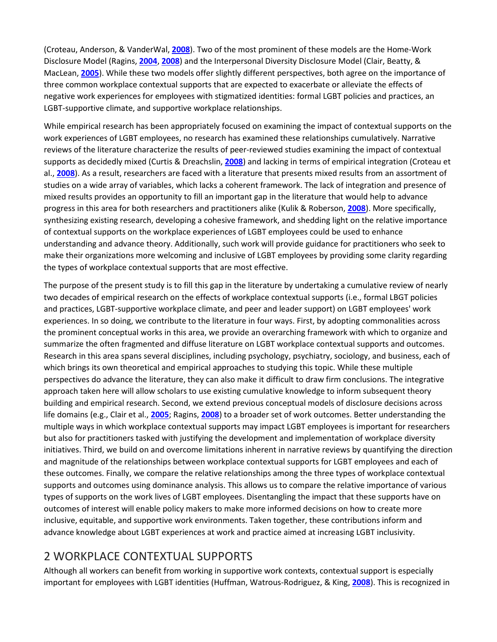(Croteau, Anderson, & VanderWal, **[2008](https://onlinelibrary.wiley.com/doi/full/10.1002/hrm.21873#hrm21873-bib-0034)**). Two of the most prominent of these models are the Home-Work Disclosure Model (Ragins, **[2004](https://onlinelibrary.wiley.com/doi/full/10.1002/hrm.21873#hrm21873-bib-0110)**, **[2008](https://onlinelibrary.wiley.com/doi/full/10.1002/hrm.21873#hrm21873-bib-0111)**) and the Interpersonal Diversity Disclosure Model (Clair, Beatty, & MacLean, **[2005](https://onlinelibrary.wiley.com/doi/full/10.1002/hrm.21873#hrm21873-bib-0029)**). While these two models offer slightly different perspectives, both agree on the importance of three common workplace contextual supports that are expected to exacerbate or alleviate the effects of negative work experiences for employees with stigmatized identities: formal LGBT policies and practices, an LGBT-supportive climate, and supportive workplace relationships.

While empirical research has been appropriately focused on examining the impact of contextual supports on the work experiences of LGBT employees, no research has examined these relationships cumulatively. Narrative reviews of the literature characterize the results of peer-reviewed studies examining the impact of contextual supports as decidedly mixed (Curtis & Dreachslin, **[2008](https://onlinelibrary.wiley.com/doi/full/10.1002/hrm.21873#hrm21873-bib-0035)**) and lacking in terms of empirical integration (Croteau et al., **[2008](https://onlinelibrary.wiley.com/doi/full/10.1002/hrm.21873#hrm21873-bib-0034)**). As a result, researchers are faced with a literature that presents mixed results from an assortment of studies on a wide array of variables, which lacks a coherent framework. The lack of integration and presence of mixed results provides an opportunity to fill an important gap in the literature that would help to advance progress in this area for both researchers and practitioners alike (Kulik & Roberson, **[2008](https://onlinelibrary.wiley.com/doi/full/10.1002/hrm.21873#hrm21873-bib-0083)**). More specifically, synthesizing existing research, developing a cohesive framework, and shedding light on the relative importance of contextual supports on the workplace experiences of LGBT employees could be used to enhance understanding and advance theory. Additionally, such work will provide guidance for practitioners who seek to make their organizations more welcoming and inclusive of LGBT employees by providing some clarity regarding the types of workplace contextual supports that are most effective.

The purpose of the present study is to fill this gap in the literature by undertaking a cumulative review of nearly two decades of empirical research on the effects of workplace contextual supports (i.e., formal LBGT policies and practices, LGBT-supportive workplace climate, and peer and leader support) on LGBT employees' work experiences. In so doing, we contribute to the literature in four ways. First, by adopting commonalities across the prominent conceptual works in this area, we provide an overarching framework with which to organize and summarize the often fragmented and diffuse literature on LGBT workplace contextual supports and outcomes. Research in this area spans several disciplines, including psychology, psychiatry, sociology, and business, each of which brings its own theoretical and empirical approaches to studying this topic. While these multiple perspectives do advance the literature, they can also make it difficult to draw firm conclusions. The integrative approach taken here will allow scholars to use existing cumulative knowledge to inform subsequent theory building and empirical research. Second, we extend previous conceptual models of disclosure decisions across life domains (e.g., Clair et al., **[2005](https://onlinelibrary.wiley.com/doi/full/10.1002/hrm.21873#hrm21873-bib-0029)**; Ragins, **[2008](https://onlinelibrary.wiley.com/doi/full/10.1002/hrm.21873#hrm21873-bib-0111)**) to a broader set of work outcomes. Better understanding the multiple ways in which workplace contextual supports may impact LGBT employees is important for researchers but also for practitioners tasked with justifying the development and implementation of workplace diversity initiatives. Third, we build on and overcome limitations inherent in narrative reviews by quantifying the direction and magnitude of the relationships between workplace contextual supports for LGBT employees and each of these outcomes. Finally, we compare the relative relationships among the three types of workplace contextual supports and outcomes using dominance analysis. This allows us to compare the relative importance of various types of supports on the work lives of LGBT employees. Disentangling the impact that these supports have on outcomes of interest will enable policy makers to make more informed decisions on how to create more inclusive, equitable, and supportive work environments. Taken together, these contributions inform and advance knowledge about LGBT experiences at work and practice aimed at increasing LGBT inclusivity.

## 2 WORKPLACE CONTEXTUAL SUPPORTS

Although all workers can benefit from working in supportive work contexts, contextual support is especially important for employees with LGBT identities (Huffman, Watrous-Rodriguez, & King, **[2008](https://onlinelibrary.wiley.com/doi/full/10.1002/hrm.21873#hrm21873-bib-0064)**). This is recognized in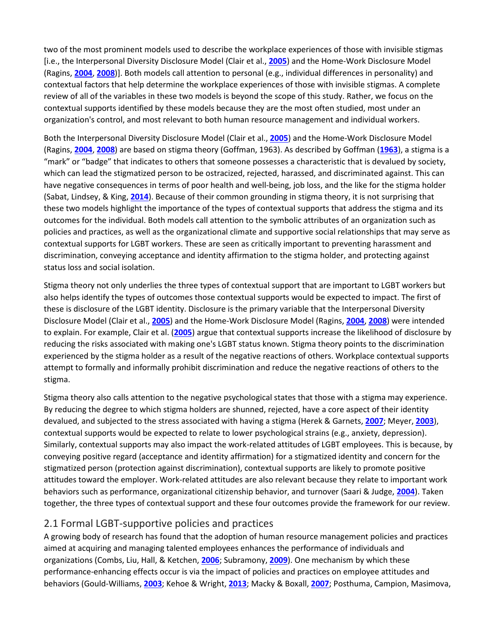two of the most prominent models used to describe the workplace experiences of those with invisible stigmas [i.e., the Interpersonal Diversity Disclosure Model (Clair et al., **[2005](https://onlinelibrary.wiley.com/doi/full/10.1002/hrm.21873#hrm21873-bib-0029)**) and the Home-Work Disclosure Model (Ragins, **[2004](https://onlinelibrary.wiley.com/doi/full/10.1002/hrm.21873#hrm21873-bib-0110)**, **[2008](https://onlinelibrary.wiley.com/doi/full/10.1002/hrm.21873#hrm21873-bib-0111)**)]. Both models call attention to personal (e.g., individual differences in personality) and contextual factors that help determine the workplace experiences of those with invisible stigmas. A complete review of all of the variables in these two models is beyond the scope of this study. Rather, we focus on the contextual supports identified by these models because they are the most often studied, most under an organization's control, and most relevant to both human resource management and individual workers.

Both the Interpersonal Diversity Disclosure Model (Clair et al., **[2005](https://onlinelibrary.wiley.com/doi/full/10.1002/hrm.21873#hrm21873-bib-0029)**) and the Home-Work Disclosure Model (Ragins, **[2004](https://onlinelibrary.wiley.com/doi/full/10.1002/hrm.21873#hrm21873-bib-0110)**, **[2008](https://onlinelibrary.wiley.com/doi/full/10.1002/hrm.21873#hrm21873-bib-0111)**) are based on stigma theory (Goffman, 1963). As described by Goffman (**[1963](https://onlinelibrary.wiley.com/doi/full/10.1002/hrm.21873#hrm21873-bib-0141)**), a stigma is a "mark" or "badge" that indicates to others that someone possesses a characteristic that is devalued by society, which can lead the stigmatized person to be ostracized, rejected, harassed, and discriminated against. This can have negative consequences in terms of poor health and well-being, job loss, and the like for the stigma holder (Sabat, Lindsey, & King, **[2014](https://onlinelibrary.wiley.com/doi/full/10.1002/hrm.21873#hrm21873-bib-0121)**). Because of their common grounding in stigma theory, it is not surprising that these two models highlight the importance of the types of contextual supports that address the stigma and its outcomes for the individual. Both models call attention to the symbolic attributes of an organization such as policies and practices, as well as the organizational climate and supportive social relationships that may serve as contextual supports for LGBT workers. These are seen as critically important to preventing harassment and discrimination, conveying acceptance and identity affirmation to the stigma holder, and protecting against status loss and social isolation.

Stigma theory not only underlies the three types of contextual support that are important to LGBT workers but also helps identify the types of outcomes those contextual supports would be expected to impact. The first of these is disclosure of the LGBT identity. Disclosure is the primary variable that the Interpersonal Diversity Disclosure Model (Clair et al., **[2005](https://onlinelibrary.wiley.com/doi/full/10.1002/hrm.21873#hrm21873-bib-0029)**) and the Home-Work Disclosure Model (Ragins, **[2004](https://onlinelibrary.wiley.com/doi/full/10.1002/hrm.21873#hrm21873-bib-0110)**, **[2008](https://onlinelibrary.wiley.com/doi/full/10.1002/hrm.21873#hrm21873-bib-0111)**) were intended to explain. For example, Clair et al. (**[2005](https://onlinelibrary.wiley.com/doi/full/10.1002/hrm.21873#hrm21873-bib-0029)**) argue that contextual supports increase the likelihood of disclosure by reducing the risks associated with making one's LGBT status known. Stigma theory points to the discrimination experienced by the stigma holder as a result of the negative reactions of others. Workplace contextual supports attempt to formally and informally prohibit discrimination and reduce the negative reactions of others to the stigma.

Stigma theory also calls attention to the negative psychological states that those with a stigma may experience. By reducing the degree to which stigma holders are shunned, rejected, have a core aspect of their identity devalued, and subjected to the stress associated with having a stigma (Herek & Garnets, **[2007](https://onlinelibrary.wiley.com/doi/full/10.1002/hrm.21873#hrm21873-bib-0060)**; Meyer, **[2003](https://onlinelibrary.wiley.com/doi/full/10.1002/hrm.21873#hrm21873-bib-0094)**), contextual supports would be expected to relate to lower psychological strains (e.g., anxiety, depression). Similarly, contextual supports may also impact the work-related attitudes of LGBT employees. This is because, by conveying positive regard (acceptance and identity affirmation) for a stigmatized identity and concern for the stigmatized person (protection against discrimination), contextual supports are likely to promote positive attitudes toward the employer. Work-related attitudes are also relevant because they relate to important work behaviors such as performance, organizational citizenship behavior, and turnover (Saari & Judge, **[2004](https://onlinelibrary.wiley.com/doi/full/10.1002/hrm.21873#hrm21873-bib-0120)**). Taken together, the three types of contextual support and these four outcomes provide the framework for our review.

### 2.1 Formal LGBT-supportive policies and practices

A growing body of research has found that the adoption of human resource management policies and practices aimed at acquiring and managing talented employees enhances the performance of individuals and organizations (Combs, Liu, Hall, & Ketchen, **[2006](https://onlinelibrary.wiley.com/doi/full/10.1002/hrm.21873#hrm21873-bib-0032)**; Subramony, **[2009](https://onlinelibrary.wiley.com/doi/full/10.1002/hrm.21873#hrm21873-bib-0128)**). One mechanism by which these performance-enhancing effects occur is via the impact of policies and practices on employee attitudes and behaviors (Gould-Williams, **[2003](https://onlinelibrary.wiley.com/doi/full/10.1002/hrm.21873#hrm21873-bib-0054)**; Kehoe & Wright, **[2013](https://onlinelibrary.wiley.com/doi/full/10.1002/hrm.21873#hrm21873-bib-0076)**; Macky & Boxall, **[2007](https://onlinelibrary.wiley.com/doi/full/10.1002/hrm.21873#hrm21873-bib-0086)**; Posthuma, Campion, Masimova,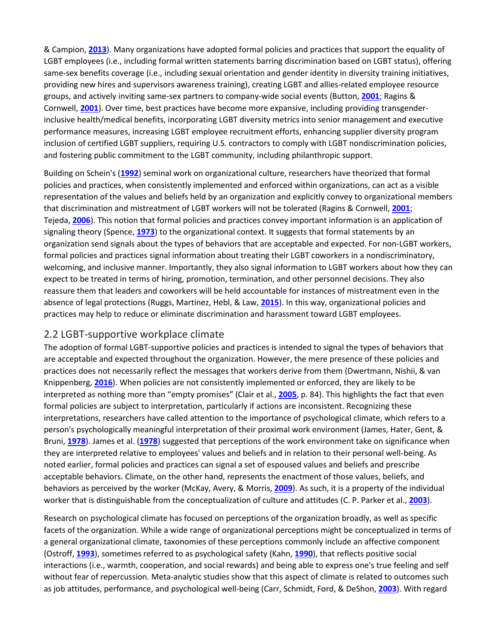& Campion, **[2013](https://onlinelibrary.wiley.com/doi/full/10.1002/hrm.21873#hrm21873-bib-0105)**). Many organizations have adopted formal policies and practices that support the equality of LGBT employees (i.e., including formal written statements barring discrimination based on LGBT status), offering same-sex benefits coverage (i.e., including sexual orientation and gender identity in diversity training initiatives, providing new hires and supervisors awareness training), creating LGBT and allies-related employee resource groups, and actively inviting same-sex partners to company-wide social events (Button, **[2001](https://onlinelibrary.wiley.com/doi/full/10.1002/hrm.21873#hrm21873-bib-0023)**; Ragins & Cornwell, **[2001](https://onlinelibrary.wiley.com/doi/full/10.1002/hrm.21873#hrm21873-bib-0112)**). Over time, best practices have become more expansive, including providing transgenderinclusive health/medical benefits, incorporating LGBT diversity metrics into senior management and executive performance measures, increasing LGBT employee recruitment efforts, enhancing supplier diversity program inclusion of certified LGBT suppliers, requiring U.S. contractors to comply with LGBT nondiscrimination policies, and fostering public commitment to the LGBT community, including philanthropic support.

Building on Schein's (**[1992](https://onlinelibrary.wiley.com/doi/full/10.1002/hrm.21873#hrm21873-bib-0124)**) seminal work on organizational culture, researchers have theorized that formal policies and practices, when consistently implemented and enforced within organizations, can act as a visible representation of the values and beliefs held by an organization and explicitly convey to organizational members that discrimination and mistreatment of LGBT workers will not be tolerated (Ragins & Cornwell, **[2001](https://onlinelibrary.wiley.com/doi/full/10.1002/hrm.21873#hrm21873-bib-0112)**; Tejeda, **[2006](https://onlinelibrary.wiley.com/doi/full/10.1002/hrm.21873#hrm21873-bib-0129)**). This notion that formal policies and practices convey important information is an application of signaling theory (Spence, **[1973](https://onlinelibrary.wiley.com/doi/full/10.1002/hrm.21873#hrm21873-bib-0126)**) to the organizational context. It suggests that formal statements by an organization send signals about the types of behaviors that are acceptable and expected. For non-LGBT workers, formal policies and practices signal information about treating their LGBT coworkers in a nondiscriminatory, welcoming, and inclusive manner. Importantly, they also signal information to LGBT workers about how they can expect to be treated in terms of hiring, promotion, termination, and other personnel decisions. They also reassure them that leaders and coworkers will be held accountable for instances of mistreatment even in the absence of legal protections (Ruggs, Martinez, Hebl, & Law, **[2015](https://onlinelibrary.wiley.com/doi/full/10.1002/hrm.21873#hrm21873-bib-0119)**). In this way, organizational policies and practices may help to reduce or eliminate discrimination and harassment toward LGBT employees.

#### 2.2 LGBT-supportive workplace climate

The adoption of formal LGBT-supportive policies and practices is intended to signal the types of behaviors that are acceptable and expected throughout the organization. However, the mere presence of these policies and practices does not necessarily reflect the messages that workers derive from them (Dwertmann, Nishii, & van Knippenberg, **[2016](https://onlinelibrary.wiley.com/doi/full/10.1002/hrm.21873#hrm21873-bib-0042)**). When policies are not consistently implemented or enforced, they are likely to be interpreted as nothing more than "empty promises" (Clair et al., **[2005](https://onlinelibrary.wiley.com/doi/full/10.1002/hrm.21873#hrm21873-bib-0029)**, p. 84). This highlights the fact that even formal policies are subject to interpretation, particularly if actions are inconsistent. Recognizing these interpretations, researchers have called attention to the importance of psychological climate, which refers to a person's psychologically meaningful interpretation of their proximal work environment (James, Hater, Gent, & Bruni, **[1978](https://onlinelibrary.wiley.com/doi/full/10.1002/hrm.21873#hrm21873-bib-0069)**). James et al. (**[1978](https://onlinelibrary.wiley.com/doi/full/10.1002/hrm.21873#hrm21873-bib-0069)**) suggested that perceptions of the work environment take on significance when they are interpreted relative to employees' values and beliefs and in relation to their personal well-being. As noted earlier, formal policies and practices can signal a set of espoused values and beliefs and prescribe acceptable behaviors. Climate, on the other hand, represents the enactment of those values, beliefs, and behaviors as perceived by the worker (McKay, Avery, & Morris, **[2009](https://onlinelibrary.wiley.com/doi/full/10.1002/hrm.21873#hrm21873-bib-0092)**). As such, it is a property of the individual worker that is distinguishable from the conceptualization of culture and attitudes (C. P. Parker et al., **[2003](https://onlinelibrary.wiley.com/doi/full/10.1002/hrm.21873#hrm21873-bib-0102)**).

Research on psychological climate has focused on perceptions of the organization broadly, as well as specific facets of the organization. While a wide range of organizational perceptions might be conceptualized in terms of a general organizational climate, taxonomies of these perceptions commonly include an affective component (Ostroff, **[1993](https://onlinelibrary.wiley.com/doi/full/10.1002/hrm.21873#hrm21873-bib-0100)**), sometimes referred to as psychological safety (Kahn, **[1990](https://onlinelibrary.wiley.com/doi/full/10.1002/hrm.21873#hrm21873-bib-0075)**), that reflects positive social interactions (i.e., warmth, cooperation, and social rewards) and being able to express one's true feeling and self without fear of repercussion. Meta-analytic studies show that this aspect of climate is related to outcomes such as job attitudes, performance, and psychological well-being (Carr, Schmidt, Ford, & DeShon, **[2003](https://onlinelibrary.wiley.com/doi/full/10.1002/hrm.21873#hrm21873-bib-0027)**). With regard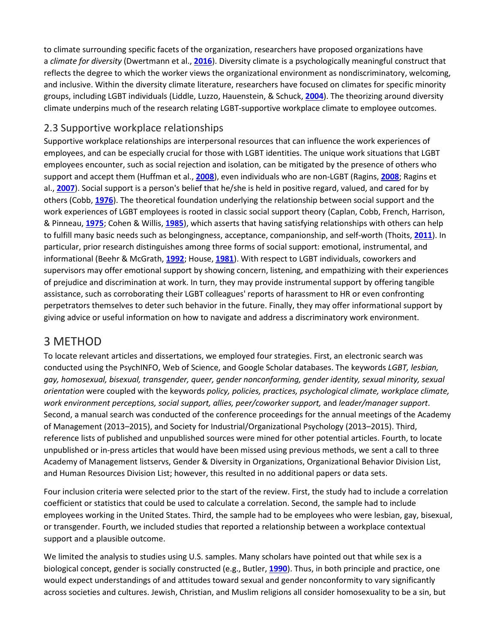to climate surrounding specific facets of the organization, researchers have proposed organizations have a *climate for diversity* (Dwertmann et al., **[2016](https://onlinelibrary.wiley.com/doi/full/10.1002/hrm.21873#hrm21873-bib-0042)**). Diversity climate is a psychologically meaningful construct that reflects the degree to which the worker views the organizational environment as nondiscriminatory, welcoming, and inclusive. Within the diversity climate literature, researchers have focused on climates for specific minority groups, including LGBT individuals (Liddle, Luzzo, Hauenstein, & Schuck, **[2004](https://onlinelibrary.wiley.com/doi/full/10.1002/hrm.21873#hrm21873-bib-0085)**). The theorizing around diversity climate underpins much of the research relating LGBT-supportive workplace climate to employee outcomes.

## 2.3 Supportive workplace relationships

Supportive workplace relationships are interpersonal resources that can influence the work experiences of employees, and can be especially crucial for those with LGBT identities. The unique work situations that LGBT employees encounter, such as social rejection and isolation, can be mitigated by the presence of others who support and accept them (Huffman et al., **[2008](https://onlinelibrary.wiley.com/doi/full/10.1002/hrm.21873#hrm21873-bib-0064)**), even individuals who are non-LGBT (Ragins, **[2008](https://onlinelibrary.wiley.com/doi/full/10.1002/hrm.21873#hrm21873-bib-0111)**; Ragins et al., **[2007](https://onlinelibrary.wiley.com/doi/full/10.1002/hrm.21873#hrm21873-bib-0113)**). Social support is a person's belief that he/she is held in positive regard, valued, and cared for by others (Cobb, **[1976](https://onlinelibrary.wiley.com/doi/full/10.1002/hrm.21873#hrm21873-bib-0030)**). The theoretical foundation underlying the relationship between social support and the work experiences of LGBT employees is rooted in classic social support theory (Caplan, Cobb, French, Harrison, & Pinneau, **[1975](https://onlinelibrary.wiley.com/doi/full/10.1002/hrm.21873#hrm21873-bib-0026)**; Cohen & Willis, **[1985](https://onlinelibrary.wiley.com/doi/full/10.1002/hrm.21873#hrm21873-bib-0031)**), which asserts that having satisfying relationships with others can help to fulfill many basic needs such as belongingness, acceptance, companionship, and self-worth (Thoits, **[2011](https://onlinelibrary.wiley.com/doi/full/10.1002/hrm.21873#hrm21873-bib-0130)**). In particular, prior research distinguishes among three forms of social support: emotional, instrumental, and informational (Beehr & McGrath, **[1992](https://onlinelibrary.wiley.com/doi/full/10.1002/hrm.21873#hrm21873-bib-0012)**; House, **[1981](https://onlinelibrary.wiley.com/doi/full/10.1002/hrm.21873#hrm21873-bib-0062)**). With respect to LGBT individuals, coworkers and supervisors may offer emotional support by showing concern, listening, and empathizing with their experiences of prejudice and discrimination at work. In turn, they may provide instrumental support by offering tangible assistance, such as corroborating their LGBT colleagues' reports of harassment to HR or even confronting perpetrators themselves to deter such behavior in the future. Finally, they may offer informational support by giving advice or useful information on how to navigate and address a discriminatory work environment.

## 3 METHOD

To locate relevant articles and dissertations, we employed four strategies. First, an electronic search was conducted using the PsychINFO, Web of Science, and Google Scholar databases. The keywords *LGBT, lesbian, gay, homosexual, bisexual, transgender, queer, gender nonconforming, gender identity, sexual minority, sexual orientation* were coupled with the keywords *policy, policies, practices, psychological climate, workplace climate, work environment perceptions, social support, allies, peer/coworker support,* and *leader/manager support*. Second, a manual search was conducted of the conference proceedings for the annual meetings of the Academy of Management (2013–2015), and Society for Industrial/Organizational Psychology (2013–2015). Third, reference lists of published and unpublished sources were mined for other potential articles. Fourth, to locate unpublished or in-press articles that would have been missed using previous methods, we sent a call to three Academy of Management listservs, Gender & Diversity in Organizations, Organizational Behavior Division List, and Human Resources Division List; however, this resulted in no additional papers or data sets.

Four inclusion criteria were selected prior to the start of the review. First, the study had to include a correlation coefficient or statistics that could be used to calculate a correlation. Second, the sample had to include employees working in the United States. Third, the sample had to be employees who were lesbian, gay, bisexual, or transgender. Fourth, we included studies that reported a relationship between a workplace contextual support and a plausible outcome.

We limited the analysis to studies using U.S. samples. Many scholars have pointed out that while sex is a biological concept, gender is socially constructed (e.g., Butler, **[1990](https://onlinelibrary.wiley.com/doi/full/10.1002/hrm.21873#hrm21873-bib-0021)**). Thus, in both principle and practice, one would expect understandings of and attitudes toward sexual and gender nonconformity to vary significantly across societies and cultures. Jewish, Christian, and Muslim religions all consider homosexuality to be a sin, but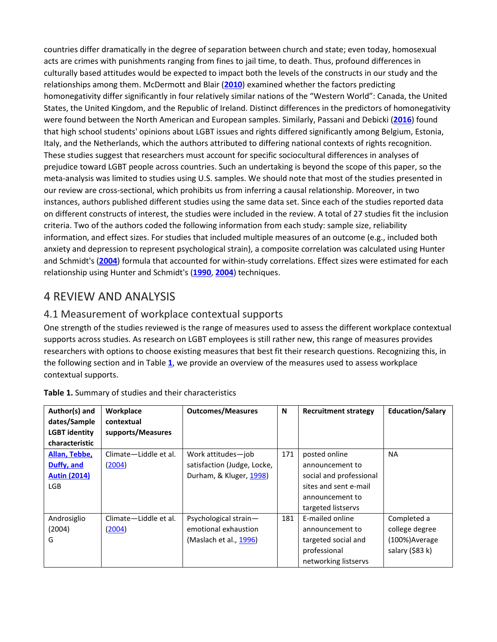countries differ dramatically in the degree of separation between church and state; even today, homosexual acts are crimes with punishments ranging from fines to jail time, to death. Thus, profound differences in culturally based attitudes would be expected to impact both the levels of the constructs in our study and the relationships among them. McDermott and Blair (**[2010](https://onlinelibrary.wiley.com/doi/full/10.1002/hrm.21873#hrm21873-bib-0091)**) examined whether the factors predicting homonegativity differ significantly in four relatively similar nations of the "Western World": Canada, the United States, the United Kingdom, and the Republic of Ireland. Distinct differences in the predictors of homonegativity were found between the North American and European samples. Similarly, Passani and Debicki (**[2016](https://onlinelibrary.wiley.com/doi/full/10.1002/hrm.21873#hrm21873-bib-0104)**) found that high school students' opinions about LGBT issues and rights differed significantly among Belgium, Estonia, Italy, and the Netherlands, which the authors attributed to differing national contexts of rights recognition. These studies suggest that researchers must account for specific sociocultural differences in analyses of prejudice toward LGBT people across countries. Such an undertaking is beyond the scope of this paper, so the meta-analysis was limited to studies using U.S. samples. We should note that most of the studies presented in our review are cross-sectional, which prohibits us from inferring a causal relationship. Moreover, in two instances, authors published different studies using the same data set. Since each of the studies reported data on different constructs of interest, the studies were included in the review. A total of 27 studies fit the inclusion criteria. Two of the authors coded the following information from each study: sample size, reliability information, and effect sizes. For studies that included multiple measures of an outcome (e.g., included both anxiety and depression to represent psychological strain), a composite correlation was calculated using Hunter and Schmidt's (**[2004](https://onlinelibrary.wiley.com/doi/full/10.1002/hrm.21873#hrm21873-bib-0067)**) formula that accounted for within-study correlations. Effect sizes were estimated for each relationship using Hunter and Schmidt's (**[1990](https://onlinelibrary.wiley.com/doi/full/10.1002/hrm.21873#hrm21873-bib-0066)**, **[2004](https://onlinelibrary.wiley.com/doi/full/10.1002/hrm.21873#hrm21873-bib-0067)**) techniques.

## 4 REVIEW AND ANALYSIS

## 4.1 Measurement of workplace contextual supports

One strength of the studies reviewed is the range of measures used to assess the different workplace contextual supports across studies. As research on LGBT employees is still rather new, this range of measures provides researchers with options to choose existing measures that best fit their research questions. Recognizing this, in the following section and in Table **[1](https://onlinelibrary.wiley.com/doi/full/10.1002/hrm.21873#hrm21873-tbl-0001)**, we provide an overview of the measures used to assess workplace contextual supports.

| Author(s) and<br>dates/Sample<br><b>LGBT identity</b> | Workplace<br>contextual<br>supports/Measures | <b>Outcomes/Measures</b>    | N   | <b>Recruitment strategy</b> | <b>Education/Salary</b> |
|-------------------------------------------------------|----------------------------------------------|-----------------------------|-----|-----------------------------|-------------------------|
| characteristic                                        |                                              |                             |     |                             |                         |
| Allan, Tebbe,                                         | Climate-Liddle et al.                        | Work attitudes-job          | 171 | posted online               | <b>NA</b>               |
| Duffy, and                                            | (2004)                                       | satisfaction (Judge, Locke, |     | announcement to             |                         |
| <b>Autin (2014)</b>                                   |                                              | Durham, & Kluger, 1998)     |     | social and professional     |                         |
| LGB                                                   |                                              |                             |     | sites and sent e-mail       |                         |
|                                                       |                                              |                             |     | announcement to             |                         |
|                                                       |                                              |                             |     | targeted listservs          |                         |
| Androsiglio                                           | Climate-Liddle et al.                        | Psychological strain-       | 181 | E-mailed online             | Completed a             |
| (2004)                                                | (2004)                                       | emotional exhaustion        |     | announcement to             | college degree          |
| G                                                     |                                              | (Maslach et al., 1996)      |     | targeted social and         | (100%) Average          |
|                                                       |                                              |                             |     | professional                | salary (\$83 k)         |
|                                                       |                                              |                             |     | networking listservs        |                         |

**Table 1.** Summary of studies and their characteristics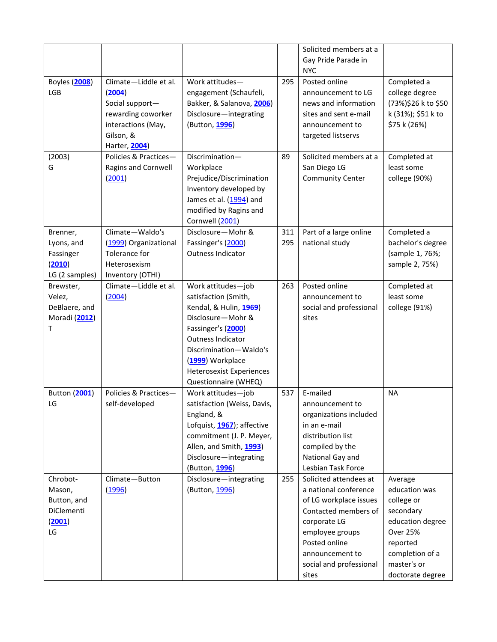|                                                                 |                                                                                                                              |                                                                                                                                                                                                                                               |            | Solicited members at a<br>Gay Pride Parade in                                                                                                                                                                |                                                                                                                                                              |
|-----------------------------------------------------------------|------------------------------------------------------------------------------------------------------------------------------|-----------------------------------------------------------------------------------------------------------------------------------------------------------------------------------------------------------------------------------------------|------------|--------------------------------------------------------------------------------------------------------------------------------------------------------------------------------------------------------------|--------------------------------------------------------------------------------------------------------------------------------------------------------------|
| Boyles (2008)<br>LGB                                            | Climate-Liddle et al.<br>(2004)<br>Social support-<br>rewarding coworker<br>interactions (May,<br>Gilson, &<br>Harter, 2004) | Work attitudes-<br>engagement (Schaufeli,<br>Bakker, & Salanova, 2006)<br>Disclosure-integrating<br>(Button, 1996)                                                                                                                            | 295        | <b>NYC</b><br>Posted online<br>announcement to LG<br>news and information<br>sites and sent e-mail<br>announcement to<br>targeted listservs                                                                  | Completed a<br>college degree<br>(73%)\$26 k to \$50<br>k (31%); \$51 k to<br>\$75 k (26%)                                                                   |
| (2003)<br>G                                                     | Policies & Practices-<br>Ragins and Cornwell<br>(2001)                                                                       | Discrimination-<br>Workplace<br>Prejudice/Discrimination<br>Inventory developed by<br>James et al. (1994) and<br>modified by Ragins and<br>Cornwell (2001)                                                                                    | 89         | Solicited members at a<br>San Diego LG<br><b>Community Center</b>                                                                                                                                            | Completed at<br>least some<br>college (90%)                                                                                                                  |
| Brenner,<br>Lyons, and<br>Fassinger<br>(2010)<br>LG (2 samples) | Climate-Waldo's<br>(1999) Organizational<br>Tolerance for<br>Heterosexism<br>Inventory (OTHI)                                | Disclosure-Mohr &<br>Fassinger's (2000)<br><b>Outness Indicator</b>                                                                                                                                                                           | 311<br>295 | Part of a large online<br>national study                                                                                                                                                                     | Completed a<br>bachelor's degree<br>(sample 1, 76%;<br>sample 2, 75%)                                                                                        |
| Brewster,<br>Velez,<br>DeBlaere, and<br>Moradi (2012)<br>т      | Climate-Liddle et al.<br>(2004)                                                                                              | Work attitudes-job<br>satisfaction (Smith,<br>Kendal, & Hulin, 1969)<br>Disclosure-Mohr &<br>Fassinger's (2000)<br>Outness Indicator<br>Discrimination-Waldo's<br>(1999) Workplace<br><b>Heterosexist Experiences</b><br>Questionnaire (WHEQ) | 263        | Posted online<br>announcement to<br>social and professional<br>sites                                                                                                                                         | Completed at<br>least some<br>college (91%)                                                                                                                  |
| Button (2001)<br>LG                                             | Policies & Practices-<br>self-developed                                                                                      | Work attitudes-job<br>satisfaction (Weiss, Davis,<br>England, &<br>Lofquist, 1967); affective<br>commitment (J. P. Meyer,<br>Allen, and Smith, 1993)<br>Disclosure-integrating<br>(Button, 1996)                                              | 537        | E-mailed<br>announcement to<br>organizations included<br>in an e-mail<br>distribution list<br>compiled by the<br>National Gay and<br>Lesbian Task Force                                                      | <b>NA</b>                                                                                                                                                    |
| Chrobot-<br>Mason,<br>Button, and<br>DiClementi<br>(2001)<br>LG | Climate-Button<br>(1996)                                                                                                     | Disclosure-integrating<br>(Button, 1996)                                                                                                                                                                                                      | 255        | Solicited attendees at<br>a national conference<br>of LG workplace issues<br>Contacted members of<br>corporate LG<br>employee groups<br>Posted online<br>announcement to<br>social and professional<br>sites | Average<br>education was<br>college or<br>secondary<br>education degree<br><b>Over 25%</b><br>reported<br>completion of a<br>master's or<br>doctorate degree |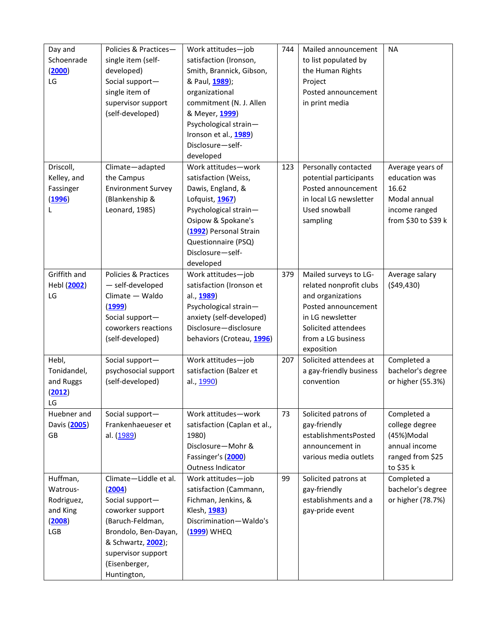| Day and      | Policies & Practices-     | Work attitudes-job           | 744 | Mailed announcement     | <b>NA</b>           |
|--------------|---------------------------|------------------------------|-----|-------------------------|---------------------|
| Schoenrade   | single item (self-        | satisfaction (Ironson,       |     | to list populated by    |                     |
| (2000)       | developed)                | Smith, Brannick, Gibson,     |     | the Human Rights        |                     |
| LG           | Social support-           | & Paul, 1989);               |     | Project                 |                     |
|              | single item of            | organizational               |     | Posted announcement     |                     |
|              | supervisor support        | commitment (N. J. Allen      |     | in print media          |                     |
|              | (self-developed)          | & Meyer, 1999)               |     |                         |                     |
|              |                           | Psychological strain-        |     |                         |                     |
|              |                           | Ironson et al., 1989)        |     |                         |                     |
|              |                           | Disclosure-self-             |     |                         |                     |
|              |                           | developed                    |     |                         |                     |
| Driscoll,    | Climate-adapted           | Work attitudes-work          | 123 | Personally contacted    | Average years of    |
| Kelley, and  | the Campus                | satisfaction (Weiss,         |     | potential participants  | education was       |
| Fassinger    | <b>Environment Survey</b> | Dawis, England, &            |     | Posted announcement     | 16.62               |
| (1996)       | (Blankenship &            | Lofquist, 1967)              |     | in local LG newsletter  | Modal annual        |
| L            | Leonard, 1985)            | Psychological strain-        |     | Used snowball           | income ranged       |
|              |                           | Osipow & Spokane's           |     | sampling                | from \$30 to \$39 k |
|              |                           | (1992) Personal Strain       |     |                         |                     |
|              |                           | Questionnaire (PSQ)          |     |                         |                     |
|              |                           | Disclosure-self-             |     |                         |                     |
|              |                           | developed                    |     |                         |                     |
| Griffith and | Policies & Practices      | Work attitudes-job           | 379 | Mailed surveys to LG-   | Average salary      |
| Hebl (2002)  | - self-developed          | satisfaction (Ironson et     |     | related nonprofit clubs | (549, 430)          |
| LG           | Climate - Waldo           | al., 1989)                   |     | and organizations       |                     |
|              | (1999)                    | Psychological strain-        |     | Posted announcement     |                     |
|              | Social support-           | anxiety (self-developed)     |     | in LG newsletter        |                     |
|              | coworkers reactions       | Disclosure-disclosure        |     | Solicited attendees     |                     |
|              | (self-developed)          | behaviors (Croteau, 1996)    |     | from a LG business      |                     |
|              |                           |                              |     | exposition              |                     |
| Hebl,        | Social support-           | Work attitudes-job           | 207 | Solicited attendees at  | Completed a         |
| Tonidandel,  | psychosocial support      | satisfaction (Balzer et      |     | a gay-friendly business | bachelor's degree   |
| and Ruggs    | (self-developed)          | al., 1990)                   |     | convention              | or higher (55.3%)   |
| (2012)       |                           |                              |     |                         |                     |
| LG           |                           |                              |     |                         |                     |
| Huebner and  | Social support-           | Work attitudes-work          | 73  | Solicited patrons of    | Completed a         |
| Davis (2005) | Frankenhaeueser et        | satisfaction (Caplan et al., |     | gay-friendly            | college degree      |
| GB           | al. (1989)                | 1980)                        |     | establishmentsPosted    | (45%)Modal          |
|              |                           | Disclosure-Mohr &            |     | announcement in         | annual income       |
|              |                           | Fassinger's (2000)           |     | various media outlets   | ranged from \$25    |
|              |                           | Outness Indicator            |     |                         | to \$35 k           |
| Huffman,     | Climate-Liddle et al.     | Work attitudes-job           | 99  | Solicited patrons at    | Completed a         |
| Watrous-     | (2004)                    | satisfaction (Cammann,       |     | gay-friendly            | bachelor's degree   |
| Rodriguez,   | Social support-           | Fichman, Jenkins, &          |     | establishments and a    | or higher (78.7%)   |
| and King     | coworker support          | Klesh, 1983)                 |     | gay-pride event         |                     |
| (2008)       | (Baruch-Feldman,          | Discrimination-Waldo's       |     |                         |                     |
| LGB          | Brondolo, Ben-Dayan,      | (1999) WHEQ                  |     |                         |                     |
|              | & Schwartz, 2002);        |                              |     |                         |                     |
|              | supervisor support        |                              |     |                         |                     |
|              | (Eisenberger,             |                              |     |                         |                     |
|              | Huntington,               |                              |     |                         |                     |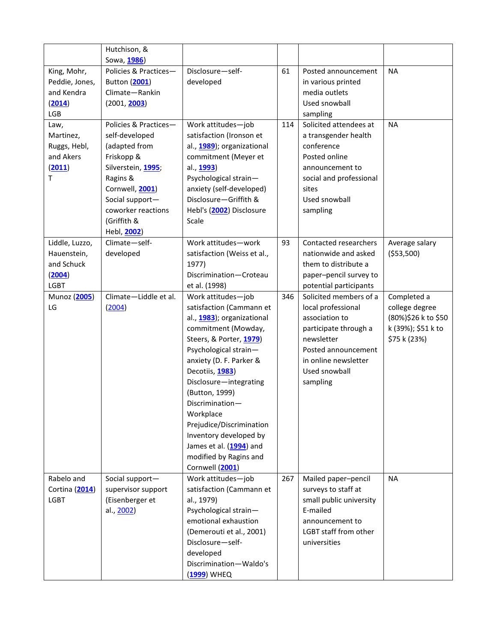|                    | Hutchison, &<br>Sowa, 1986) |                                     |     |                                                  |                     |
|--------------------|-----------------------------|-------------------------------------|-----|--------------------------------------------------|---------------------|
| King, Mohr,        | Policies & Practices-       | Disclosure-self-                    | 61  | Posted announcement                              | <b>NA</b>           |
| Peddie, Jones,     | Button (2001)               | developed                           |     | in various printed                               |                     |
| and Kendra         | Climate-Rankin              |                                     |     | media outlets                                    |                     |
| (2014)             | (2001, 2003)                |                                     |     | Used snowball                                    |                     |
| LGB                |                             |                                     |     | sampling                                         |                     |
| Law,               | Policies & Practices-       | Work attitudes-job                  | 114 | Solicited attendees at                           | <b>NA</b>           |
| Martinez,          | self-developed              | satisfaction (Ironson et            |     | a transgender health                             |                     |
| Ruggs, Hebl,       | (adapted from               | al., 1989); organizational          |     | conference                                       |                     |
| and Akers          | Friskopp &                  | commitment (Meyer et                |     | Posted online                                    |                     |
| (2011)             | Silverstein, 1995;          | al., 1993)                          |     | announcement to                                  |                     |
| T.                 | Ragins &                    | Psychological strain-               |     | social and professional                          |                     |
|                    | Cornwell, 2001)             | anxiety (self-developed)            |     | sites                                            |                     |
|                    | Social support-             | Disclosure-Griffith &               |     | Used snowball                                    |                     |
|                    | coworker reactions          | Hebl's (2002) Disclosure            |     | sampling                                         |                     |
|                    | (Griffith &                 | Scale                               |     |                                                  |                     |
|                    | Hebl, 2002)                 |                                     |     |                                                  |                     |
| Liddle, Luzzo,     | Climate-self-               | Work attitudes-work                 | 93  | Contacted researchers                            | Average salary      |
| Hauenstein,        | developed                   | satisfaction (Weiss et al.,         |     | nationwide and asked                             | ( \$53,500)         |
| and Schuck         |                             | 1977)                               |     | them to distribute a                             |                     |
| (2004)             |                             | Discrimination-Croteau              |     | paper-pencil survey to                           |                     |
| <b>LGBT</b>        | Climate-Liddle et al.       | et al. (1998)<br>Work attitudes-job | 346 | potential participants<br>Solicited members of a | Completed a         |
| Munoz (2005)<br>LG | (2004)                      | satisfaction (Cammann et            |     | local professional                               | college degree      |
|                    |                             | al., 1983); organizational          |     | association to                                   | (80%)\$26 k to \$50 |
|                    |                             | commitment (Mowday,                 |     | participate through a                            | k (39%); \$51 k to  |
|                    |                             | Steers, & Porter, 1979)             |     | newsletter                                       | \$75 k (23%)        |
|                    |                             | Psychological strain-               |     | Posted announcement                              |                     |
|                    |                             | anxiety (D. F. Parker &             |     | in online newsletter                             |                     |
|                    |                             | Decotiis, 1983)                     |     | Used snowball                                    |                     |
|                    |                             | Disclosure-integrating              |     | sampling                                         |                     |
|                    |                             | (Button, 1999)                      |     |                                                  |                     |
|                    |                             | Discrimination-                     |     |                                                  |                     |
|                    |                             | Workplace                           |     |                                                  |                     |
|                    |                             | Prejudice/Discrimination            |     |                                                  |                     |
|                    |                             | Inventory developed by              |     |                                                  |                     |
|                    |                             | James et al. (1994) and             |     |                                                  |                     |
|                    |                             | modified by Ragins and              |     |                                                  |                     |
|                    |                             | Cornwell (2001)                     |     |                                                  |                     |
| Rabelo and         | Social support-             | Work attitudes-job                  | 267 | Mailed paper-pencil                              | <b>NA</b>           |
| Cortina (2014)     | supervisor support          | satisfaction (Cammann et            |     | surveys to staff at                              |                     |
| <b>LGBT</b>        | (Eisenberger et             | al., 1979)                          |     | small public university                          |                     |
|                    | al., 2002)                  | Psychological strain-               |     | E-mailed                                         |                     |
|                    |                             | emotional exhaustion                |     | announcement to                                  |                     |
|                    |                             | (Demerouti et al., 2001)            |     | LGBT staff from other                            |                     |
|                    |                             | Disclosure-self-                    |     | universities                                     |                     |
|                    |                             | developed                           |     |                                                  |                     |
|                    |                             | Discrimination-Waldo's              |     |                                                  |                     |
|                    |                             | (1999) WHEQ                         |     |                                                  |                     |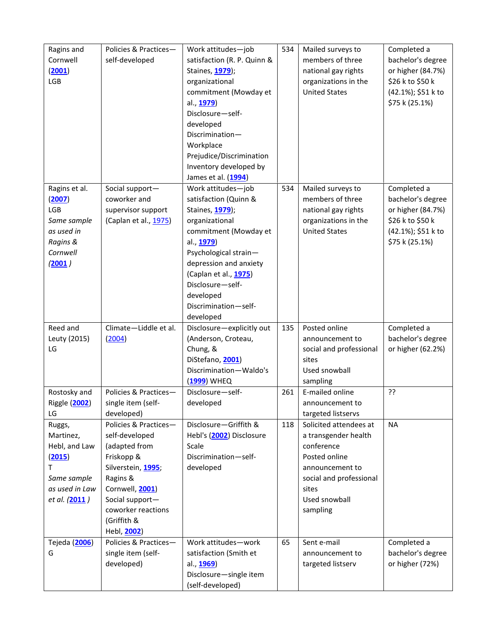| Ragins and<br>Cornwell | Policies & Practices-<br>self-developed | Work attitudes-job<br>satisfaction (R. P. Quinn & | 534 | Mailed surveys to<br>members of three<br>national gay rights | Completed a<br>bachelor's degree<br>or higher (84.7%) |  |  |
|------------------------|-----------------------------------------|---------------------------------------------------|-----|--------------------------------------------------------------|-------------------------------------------------------|--|--|
| (2001)<br>LGB          |                                         | Staines, 1979);<br>organizational                 |     | organizations in the                                         | \$26 k to \$50 k                                      |  |  |
|                        |                                         | commitment (Mowday et                             |     | <b>United States</b>                                         | (42.1%); \$51 k to                                    |  |  |
|                        |                                         | al., 1979)                                        |     |                                                              | \$75 k (25.1%)                                        |  |  |
|                        |                                         | Disclosure-self-                                  |     |                                                              |                                                       |  |  |
|                        |                                         | developed                                         |     |                                                              |                                                       |  |  |
|                        |                                         | Discrimination-                                   |     |                                                              |                                                       |  |  |
|                        |                                         | Workplace                                         |     |                                                              |                                                       |  |  |
|                        |                                         | Prejudice/Discrimination                          |     |                                                              |                                                       |  |  |
|                        |                                         | Inventory developed by                            |     |                                                              |                                                       |  |  |
|                        |                                         | James et al. (1994)                               |     |                                                              |                                                       |  |  |
| Ragins et al.          | Social support-                         | Work attitudes-job                                | 534 | Mailed surveys to                                            | Completed a                                           |  |  |
| (2007)                 | coworker and                            | satisfaction (Quinn &                             |     | members of three                                             | bachelor's degree                                     |  |  |
| LGB                    | supervisor support                      | Staines, 1979);                                   |     | national gay rights                                          | or higher (84.7%)                                     |  |  |
| Same sample            | (Caplan et al., 1975)                   | organizational                                    |     | organizations in the                                         | \$26 k to \$50 k                                      |  |  |
| as used in             |                                         | commitment (Mowday et                             |     | <b>United States</b>                                         | (42.1%); \$51 k to                                    |  |  |
| Ragins &               |                                         | al., 1979)                                        |     |                                                              | \$75 k (25.1%)                                        |  |  |
| Cornwell               |                                         | Psychological strain-                             |     |                                                              |                                                       |  |  |
| (2001)                 |                                         | depression and anxiety                            |     |                                                              |                                                       |  |  |
|                        |                                         | (Caplan et al., 1975)                             |     |                                                              |                                                       |  |  |
|                        |                                         | Disclosure-self-                                  |     |                                                              |                                                       |  |  |
|                        |                                         | developed                                         |     |                                                              |                                                       |  |  |
|                        |                                         | Discrimination-self-                              |     |                                                              |                                                       |  |  |
| Reed and               | Climate-Liddle et al.                   | developed<br>Disclosure-explicitly out            | 135 | Posted online                                                | Completed a                                           |  |  |
| Leuty (2015)           | (2004)                                  | (Anderson, Croteau,                               |     | announcement to                                              | bachelor's degree                                     |  |  |
| LG                     |                                         | Chung, &                                          |     | social and professional                                      | or higher (62.2%)                                     |  |  |
|                        |                                         | DiStefano, 2001)                                  |     | sites                                                        |                                                       |  |  |
|                        |                                         | Discrimination-Waldo's                            |     | Used snowball                                                |                                                       |  |  |
|                        |                                         | (1999) WHEQ                                       |     | sampling                                                     |                                                       |  |  |
| Rostosky and           | Policies & Practices-                   | Disclosure-self-                                  | 261 | E-mailed online                                              | ??                                                    |  |  |
| Riggle (2002)          | single item (self-                      | developed                                         |     | announcement to                                              |                                                       |  |  |
| LG                     | developed)                              |                                                   |     | targeted listservs                                           |                                                       |  |  |
| Ruggs,                 | Policies & Practices-                   | Disclosure-Griffith &                             | 118 | Solicited attendees at                                       | <b>NA</b>                                             |  |  |
| Martinez,              | self-developed                          | Hebl's (2002) Disclosure                          |     | a transgender health                                         |                                                       |  |  |
| Hebl, and Law          | (adapted from                           | Scale                                             |     | conference                                                   |                                                       |  |  |
| (2015)                 | Friskopp &                              | Discrimination-self-                              |     | Posted online                                                |                                                       |  |  |
| T.                     | Silverstein, 1995;                      | developed                                         |     | announcement to                                              |                                                       |  |  |
| Same sample            | Ragins &                                |                                                   |     | social and professional                                      |                                                       |  |  |
| as used in Law         | Cornwell, 2001)                         |                                                   |     | sites                                                        |                                                       |  |  |
| et al. (2011)          | Social support-                         |                                                   |     | Used snowball                                                |                                                       |  |  |
|                        | coworker reactions                      |                                                   |     | sampling                                                     |                                                       |  |  |
|                        | (Griffith &                             |                                                   |     |                                                              |                                                       |  |  |
|                        | Hebl, 2002)                             |                                                   |     |                                                              |                                                       |  |  |
| Tejeda (2006)          | Policies & Practices-                   | Work attitudes-work                               | 65  | Sent e-mail                                                  | Completed a                                           |  |  |
| G                      | single item (self-                      | satisfaction (Smith et                            |     | announcement to                                              | bachelor's degree                                     |  |  |
|                        | developed)                              | al., 1969)                                        |     | targeted listserv                                            | or higher (72%)                                       |  |  |
|                        |                                         | Disclosure-single item                            |     |                                                              |                                                       |  |  |
|                        |                                         | (self-developed)                                  |     |                                                              |                                                       |  |  |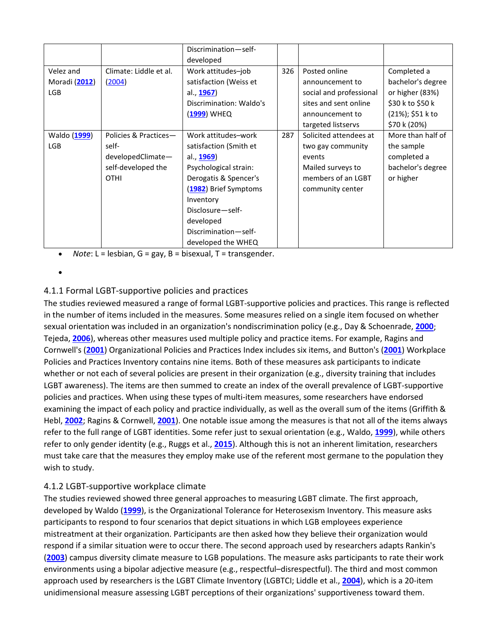|               |                        | Discrimination-self-<br>developed |     |                         |                   |
|---------------|------------------------|-----------------------------------|-----|-------------------------|-------------------|
| Velez and     | Climate: Liddle et al. | Work attitudes-job                | 326 | Posted online           | Completed a       |
|               |                        |                                   |     |                         |                   |
| Moradi (2012) | (2004)                 | satisfaction (Weiss et            |     | announcement to         | bachelor's degree |
| <b>LGB</b>    |                        | al., <b>1967</b> )                |     | social and professional | or higher (83%)   |
|               |                        | Discrimination: Waldo's           |     | sites and sent online   | \$30 k to \$50 k  |
|               |                        | (1999) WHEQ                       |     | announcement to         | (21%); \$51 k to  |
|               |                        |                                   |     | targeted listservs      | \$70 k (20%)      |
| Waldo (1999)  | Policies & Practices-  | Work attitudes-work               | 287 | Solicited attendees at  | More than half of |
| <b>LGB</b>    | self-                  | satisfaction (Smith et            |     | two gay community       | the sample        |
|               | developedClimate-      | al., <b>1969</b> )                |     | events                  | completed a       |
|               | self-developed the     | Psychological strain:             |     | Mailed surveys to       | bachelor's degree |
|               | <b>OTHI</b>            | Derogatis & Spencer's             |     | members of an LGBT      | or higher         |
|               |                        | (1982) Brief Symptoms             |     | community center        |                   |
|               |                        | Inventory                         |     |                         |                   |
|               |                        | Disclosure-self-                  |     |                         |                   |
|               |                        | developed                         |     |                         |                   |
|               |                        | Discrimination-self-              |     |                         |                   |
|               |                        | developed the WHEQ                |     |                         |                   |

• *Note*: L = lesbian, G = gay, B = bisexual, T = transgender.

•

#### 4.1.1 Formal LGBT-supportive policies and practices

The studies reviewed measured a range of formal LGBT-supportive policies and practices. This range is reflected in the number of items included in the measures. Some measures relied on a single item focused on whether sexual orientation was included in an organization's nondiscrimination policy (e.g., Day & Schoenrade, **[2000](https://onlinelibrary.wiley.com/doi/full/10.1002/hrm.21873#hrm21873-bib-0038)**; Tejeda, **[2006](https://onlinelibrary.wiley.com/doi/full/10.1002/hrm.21873#hrm21873-bib-0129)**), whereas other measures used multiple policy and practice items. For example, Ragins and Cornwell's (**[2001](https://onlinelibrary.wiley.com/doi/full/10.1002/hrm.21873#hrm21873-bib-0112)**) Organizational Policies and Practices Index includes six items, and Button's (**[2001](https://onlinelibrary.wiley.com/doi/full/10.1002/hrm.21873#hrm21873-bib-0023)**) Workplace Policies and Practices Inventory contains nine items. Both of these measures ask participants to indicate whether or not each of several policies are present in their organization (e.g., diversity training that includes LGBT awareness). The items are then summed to create an index of the overall prevalence of LGBT-supportive policies and practices. When using these types of multi-item measures, some researchers have endorsed examining the impact of each policy and practice individually, as well as the overall sum of the items (Griffith & Hebl, **[2002](https://onlinelibrary.wiley.com/doi/full/10.1002/hrm.21873#hrm21873-bib-0056)**; Ragins & Cornwell, **[2001](https://onlinelibrary.wiley.com/doi/full/10.1002/hrm.21873#hrm21873-bib-0112)**). One notable issue among the measures is that not all of the items always refer to the full range of LGBT identities. Some refer just to sexual orientation (e.g., Waldo, **[1999](https://onlinelibrary.wiley.com/doi/full/10.1002/hrm.21873#hrm21873-bib-0135)**), while others refer to only gender identity (e.g., Ruggs et al., **[2015](https://onlinelibrary.wiley.com/doi/full/10.1002/hrm.21873#hrm21873-bib-0119)**). Although this is not an inherent limitation, researchers must take care that the measures they employ make use of the referent most germane to the population they wish to study.

#### 4.1.2 LGBT-supportive workplace climate

The studies reviewed showed three general approaches to measuring LGBT climate. The first approach, developed by Waldo (**[1999](https://onlinelibrary.wiley.com/doi/full/10.1002/hrm.21873#hrm21873-bib-0135)**), is the Organizational Tolerance for Heterosexism Inventory. This measure asks participants to respond to four scenarios that depict situations in which LGB employees experience mistreatment at their organization. Participants are then asked how they believe their organization would respond if a similar situation were to occur there. The second approach used by researchers adapts Rankin's (**[2003](https://onlinelibrary.wiley.com/doi/full/10.1002/hrm.21873#hrm21873-bib-0114)**) campus diversity climate measure to LGB populations. The measure asks participants to rate their work environments using a bipolar adjective measure (e.g., respectful–disrespectful). The third and most common approach used by researchers is the LGBT Climate Inventory (LGBTCI; Liddle et al., **[2004](https://onlinelibrary.wiley.com/doi/full/10.1002/hrm.21873#hrm21873-bib-0085)**), which is a 20-item unidimensional measure assessing LGBT perceptions of their organizations' supportiveness toward them.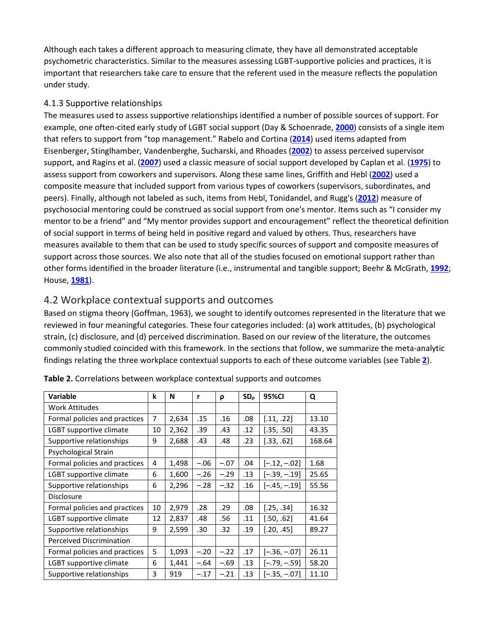Although each takes a different approach to measuring climate, they have all demonstrated acceptable psychometric characteristics. Similar to the measures assessing LGBT-supportive policies and practices, it is important that researchers take care to ensure that the referent used in the measure reflects the population under study.

#### 4.1.3 Supportive relationships

The measures used to assess supportive relationships identified a number of possible sources of support. For example, one often-cited early study of LGBT social support (Day & Schoenrade, **[2000](https://onlinelibrary.wiley.com/doi/full/10.1002/hrm.21873#hrm21873-bib-0038)**) consists of a single item that refers to support from "top management." Rabelo and Cortina (**[2014](https://onlinelibrary.wiley.com/doi/full/10.1002/hrm.21873#hrm21873-bib-0109)**) used items adapted from Eisenberger, Stinglhamber, Vandenberghe, Sucharski, and Rhoades (**[2002](https://onlinelibrary.wiley.com/doi/full/10.1002/hrm.21873#hrm21873-bib-0045)**) to assess perceived supervisor support, and Ragins et al. (**[2007](https://onlinelibrary.wiley.com/doi/full/10.1002/hrm.21873#hrm21873-bib-0113)**) used a classic measure of social support developed by Caplan et al. (**[1975](https://onlinelibrary.wiley.com/doi/full/10.1002/hrm.21873#hrm21873-bib-0026)**) to assess support from coworkers and supervisors. Along these same lines, Griffith and Hebl (**[2002](https://onlinelibrary.wiley.com/doi/full/10.1002/hrm.21873#hrm21873-bib-0056)**) used a composite measure that included support from various types of coworkers (supervisors, subordinates, and peers). Finally, although not labeled as such, items from Hebl, Tonidandel, and Rugg's (**[2012](https://onlinelibrary.wiley.com/doi/full/10.1002/hrm.21873#hrm21873-bib-0059)**) measure of psychosocial mentoring could be construed as social support from one's mentor. Items such as "I consider my mentor to be a friend" and "My mentor provides support and encouragement" reflect the theoretical definition of social support in terms of being held in positive regard and valued by others. Thus, researchers have measures available to them that can be used to study specific sources of support and composite measures of support across those sources. We also note that all of the studies focused on emotional support rather than other forms identified in the broader literature (i.e., instrumental and tangible support; Beehr & McGrath, **[1992](https://onlinelibrary.wiley.com/doi/full/10.1002/hrm.21873#hrm21873-bib-0012)**; House, **[1981](https://onlinelibrary.wiley.com/doi/full/10.1002/hrm.21873#hrm21873-bib-0062)**).

## 4.2 Workplace contextual supports and outcomes

Based on stigma theory (Goffman, 1963), we sought to identify outcomes represented in the literature that we reviewed in four meaningful categories. These four categories included: (a) work attitudes, (b) psychological strain, (c) disclosure, and (d) perceived discrimination. Based on our review of the literature, the outcomes commonly studied coincided with this framework. In the sections that follow, we summarize the meta-analytic findings relating the three workplace contextual supports to each of these outcome variables (see Table **[2](https://onlinelibrary.wiley.com/doi/full/10.1002/hrm.21873#hrm21873-tbl-0002)**).

| <b>Variable</b>                 | k  | N     | r      | ρ      | SD <sub>o</sub> | 95%CI          | Q      |
|---------------------------------|----|-------|--------|--------|-----------------|----------------|--------|
| <b>Work Attitudes</b>           |    |       |        |        |                 |                |        |
| Formal policies and practices   | 7  | 2,634 | .15    | .16    | .08             | [.11, .22]     | 13.10  |
| LGBT supportive climate         | 10 | 2,362 | .39    | .43    | .12             | [.35, .50]     | 43.35  |
| Supportive relationships        | 9  | 2,688 | .43    | .48    | .23             | [.33, .62]     | 168.64 |
| Psychological Strain            |    |       |        |        |                 |                |        |
| Formal policies and practices   | 4  | 1,498 | $-.06$ | $-.07$ | .04             | $[-.12, -.02]$ | 1.68   |
| LGBT supportive climate         | 6  | 1,600 | $-.26$ | $-.29$ | .13             | $[-.39, -.19]$ | 25.65  |
| Supportive relationships        |    | 2,296 | $-.28$ | $-.32$ | .16             | $[-.45, -.19]$ | 55.56  |
| <b>Disclosure</b>               |    |       |        |        |                 |                |        |
| Formal policies and practices   | 10 | 2,979 | .28    | .29    | .08             | [.25, .34]     | 16.32  |
| LGBT supportive climate         | 12 | 2,837 | .48    | .56    | .11             | [.50, .62]     | 41.64  |
| Supportive relationships        | 9  | 2,599 | .30    | .32    | .19             | [.20, .45]     | 89.27  |
| <b>Perceived Discrimination</b> |    |       |        |        |                 |                |        |
| Formal policies and practices   |    | 1,093 | $-.20$ | $-.22$ | .17             | $[-.36, -.07]$ | 26.11  |
| LGBT supportive climate         | 6  | 1,441 | $-.64$ | $-.69$ | .13             | $[-.79, -.59]$ | 58.20  |
| Supportive relationships        | 3  | 919   | $-.17$ | $-.21$ | .13             | $[-.35, -.07]$ | 11.10  |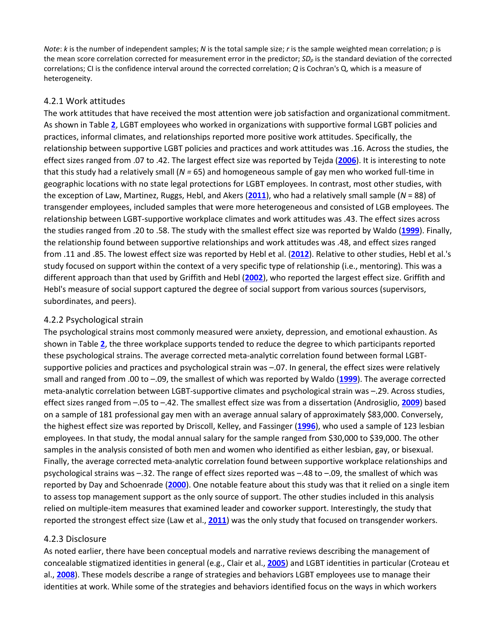*Note*: *k* is the number of independent samples; *N* is the total sample size; *r* is the sample weighted mean correlation; ρ is the mean score correlation corrected for measurement error in the predictor; *SD<sup>ρ</sup>* is the standard deviation of the corrected correlations; CI is the confidence interval around the corrected correlation; *Q* is Cochran's Q, which is a measure of heterogeneity.

#### 4.2.1 Work attitudes

The work attitudes that have received the most attention were job satisfaction and organizational commitment. As shown in Table **[2](https://onlinelibrary.wiley.com/doi/full/10.1002/hrm.21873#hrm21873-tbl-0002)**, LGBT employees who worked in organizations with supportive formal LGBT policies and practices, informal climates, and relationships reported more positive work attitudes. Specifically, the relationship between supportive LGBT policies and practices and work attitudes was .16. Across the studies, the effect sizes ranged from .07 to .42. The largest effect size was reported by Tejda (**[2006](https://onlinelibrary.wiley.com/doi/full/10.1002/hrm.21873#hrm21873-bib-0129)**). It is interesting to note that this study had a relatively small (*N =* 65) and homogeneous sample of gay men who worked full-time in geographic locations with no state legal protections for LGBT employees. In contrast, most other studies, with the exception of Law, Martinez, Ruggs, Hebl, and Akers (**[2011](https://onlinelibrary.wiley.com/doi/full/10.1002/hrm.21873#hrm21873-bib-0084)**), who had a relatively small sample (*N* = 88) of transgender employees, included samples that were more heterogeneous and consisted of LGB employees. The relationship between LGBT-supportive workplace climates and work attitudes was .43. The effect sizes across the studies ranged from .20 to .58. The study with the smallest effect size was reported by Waldo (**[1999](https://onlinelibrary.wiley.com/doi/full/10.1002/hrm.21873#hrm21873-bib-0135)**). Finally, the relationship found between supportive relationships and work attitudes was .48, and effect sizes ranged from .11 and .85. The lowest effect size was reported by Hebl et al. (**[2012](https://onlinelibrary.wiley.com/doi/full/10.1002/hrm.21873#hrm21873-bib-0059)**). Relative to other studies, Hebl et al.'s study focused on support within the context of a very specific type of relationship (i.e., mentoring). This was a different approach than that used by Griffith and Hebl (**[2002](https://onlinelibrary.wiley.com/doi/full/10.1002/hrm.21873#hrm21873-bib-0056)**), who reported the largest effect size. Griffith and Hebl's measure of social support captured the degree of social support from various sources (supervisors, subordinates, and peers).

#### 4.2.2 Psychological strain

The psychological strains most commonly measured were anxiety, depression, and emotional exhaustion. As shown in Table **[2](https://onlinelibrary.wiley.com/doi/full/10.1002/hrm.21873#hrm21873-tbl-0002)**, the three workplace supports tended to reduce the degree to which participants reported these psychological strains. The average corrected meta-analytic correlation found between formal LGBTsupportive policies and practices and psychological strain was –.07. In general, the effect sizes were relatively small and ranged from .00 to –.09, the smallest of which was reported by Waldo (**[1999](https://onlinelibrary.wiley.com/doi/full/10.1002/hrm.21873#hrm21873-bib-0135)**). The average corrected meta-analytic correlation between LGBT-supportive climates and psychological strain was –.29. Across studies, effect sizes ranged from –.05 to –.42. The smallest effect size was from a dissertation (Androsiglio, **[2009](https://onlinelibrary.wiley.com/doi/full/10.1002/hrm.21873#hrm21873-bib-0005)**) based on a sample of 181 professional gay men with an average annual salary of approximately \$83,000. Conversely, the highest effect size was reported by Driscoll, Kelley, and Fassinger (**[1996](https://onlinelibrary.wiley.com/doi/full/10.1002/hrm.21873#hrm21873-bib-0041)**), who used a sample of 123 lesbian employees. In that study, the modal annual salary for the sample ranged from \$30,000 to \$39,000. The other samples in the analysis consisted of both men and women who identified as either lesbian, gay, or bisexual. Finally, the average corrected meta-analytic correlation found between supportive workplace relationships and psychological strains was –.32. The range of effect sizes reported was –.48 to –.09, the smallest of which was reported by Day and Schoenrade (**[2000](https://onlinelibrary.wiley.com/doi/full/10.1002/hrm.21873#hrm21873-bib-0038)**). One notable feature about this study was that it relied on a single item to assess top management support as the only source of support. The other studies included in this analysis relied on multiple-item measures that examined leader and coworker support. Interestingly, the study that reported the strongest effect size (Law et al., **[2011](https://onlinelibrary.wiley.com/doi/full/10.1002/hrm.21873#hrm21873-bib-0084)**) was the only study that focused on transgender workers.

#### 4.2.3 Disclosure

As noted earlier, there have been conceptual models and narrative reviews describing the management of concealable stigmatized identities in general (e.g., Clair et al., **[2005](https://onlinelibrary.wiley.com/doi/full/10.1002/hrm.21873#hrm21873-bib-0029)**) and LGBT identities in particular (Croteau et al., **[2008](https://onlinelibrary.wiley.com/doi/full/10.1002/hrm.21873#hrm21873-bib-0034)**). These models describe a range of strategies and behaviors LGBT employees use to manage their identities at work. While some of the strategies and behaviors identified focus on the ways in which workers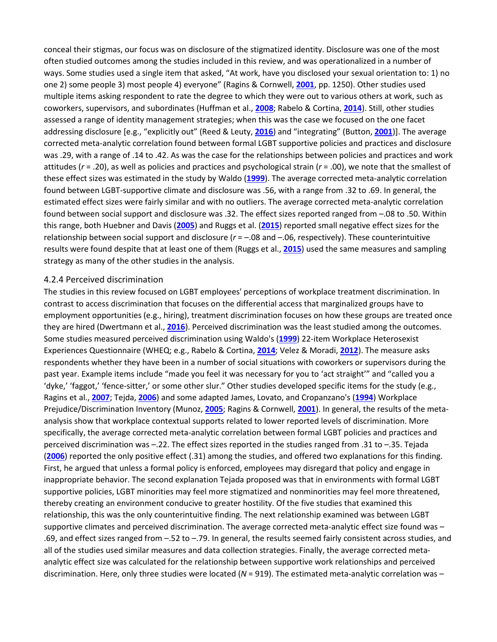conceal their stigmas, our focus was on disclosure of the stigmatized identity. Disclosure was one of the most often studied outcomes among the studies included in this review, and was operationalized in a number of ways. Some studies used a single item that asked, "At work, have you disclosed your sexual orientation to: 1) no one 2) some people 3) most people 4) everyone" (Ragins & Cornwell, **[2001](https://onlinelibrary.wiley.com/doi/full/10.1002/hrm.21873#hrm21873-bib-0112)**, pp. 1250). Other studies used multiple items asking respondent to rate the degree to which they were out to various others at work, such as coworkers, supervisors, and subordinates (Huffman et al., **[2008](https://onlinelibrary.wiley.com/doi/full/10.1002/hrm.21873#hrm21873-bib-0064)**; Rabelo & Cortina, **[2014](https://onlinelibrary.wiley.com/doi/full/10.1002/hrm.21873#hrm21873-bib-0109)**). Still, other studies assessed a range of identity management strategies; when this was the case we focused on the one facet addressing disclosure [e.g., "explicitly out" (Reed & Leuty, **[2016](https://onlinelibrary.wiley.com/doi/full/10.1002/hrm.21873#hrm21873-bib-0115)**) and "integrating" (Button, **[2001](https://onlinelibrary.wiley.com/doi/full/10.1002/hrm.21873#hrm21873-bib-0023)**)]. The average corrected meta-analytic correlation found between formal LGBT supportive policies and practices and disclosure was .29, with a range of .14 to .42. As was the case for the relationships between policies and practices and work attitudes (*r* = .20), as well as policies and practices and psychological strain (*r* = .00), we note that the smallest of these effect sizes was estimated in the study by Waldo (**[1999](https://onlinelibrary.wiley.com/doi/full/10.1002/hrm.21873#hrm21873-bib-0135)**). The average corrected meta-analytic correlation found between LGBT-supportive climate and disclosure was .56, with a range from .32 to .69. In general, the estimated effect sizes were fairly similar and with no outliers. The average corrected meta-analytic correlation found between social support and disclosure was .32. The effect sizes reported ranged from –.08 to .50. Within this range, both Huebner and Davis (**[2005](https://onlinelibrary.wiley.com/doi/full/10.1002/hrm.21873#hrm21873-bib-0063)**) and Ruggs et al. (**[2015](https://onlinelibrary.wiley.com/doi/full/10.1002/hrm.21873#hrm21873-bib-0119)**) reported small negative effect sizes for the relationship between social support and disclosure (*r* = –.08 and –.06, respectively). These counterintuitive results were found despite that at least one of them (Ruggs et al., **[2015](https://onlinelibrary.wiley.com/doi/full/10.1002/hrm.21873#hrm21873-bib-0119)**) used the same measures and sampling strategy as many of the other studies in the analysis.

#### 4.2.4 Perceived discrimination

The studies in this review focused on LGBT employees' perceptions of workplace treatment discrimination. In contrast to access discrimination that focuses on the differential access that marginalized groups have to employment opportunities (e.g., hiring), treatment discrimination focuses on how these groups are treated once they are hired (Dwertmann et al., **[2016](https://onlinelibrary.wiley.com/doi/full/10.1002/hrm.21873#hrm21873-bib-0042)**). Perceived discrimination was the least studied among the outcomes. Some studies measured perceived discrimination using Waldo's (**[1999](https://onlinelibrary.wiley.com/doi/full/10.1002/hrm.21873#hrm21873-bib-0135)**) 22-item Workplace Heterosexist Experiences Questionnaire (WHEQ; e.g., Rabelo & Cortina, **[2014](https://onlinelibrary.wiley.com/doi/full/10.1002/hrm.21873#hrm21873-bib-0109)**; Velez & Moradi, **[2012](https://onlinelibrary.wiley.com/doi/full/10.1002/hrm.21873#hrm21873-bib-0133)**). The measure asks respondents whether they have been in a number of social situations with coworkers or supervisors during the past year. Example items include "made you feel it was necessary for you to 'act straight'" and "called you a 'dyke,' 'faggot,' 'fence-sitter,' or some other slur." Other studies developed specific items for the study (e.g., Ragins et al., **[2007](https://onlinelibrary.wiley.com/doi/full/10.1002/hrm.21873#hrm21873-bib-0113)**; Tejda, **[2006](https://onlinelibrary.wiley.com/doi/full/10.1002/hrm.21873#hrm21873-bib-0129)**) and some adapted James, Lovato, and Cropanzano's (**[1994](https://onlinelibrary.wiley.com/doi/full/10.1002/hrm.21873#hrm21873-bib-0070)**) Workplace Prejudice/Discrimination Inventory (Munoz, **[2005](https://onlinelibrary.wiley.com/doi/full/10.1002/hrm.21873#hrm21873-bib-0098)**; Ragins & Cornwell, **[2001](https://onlinelibrary.wiley.com/doi/full/10.1002/hrm.21873#hrm21873-bib-0112)**). In general, the results of the metaanalysis show that workplace contextual supports related to lower reported levels of discrimination. More specifically, the average corrected meta-analytic correlation between formal LGBT policies and practices and perceived discrimination was –.22. The effect sizes reported in the studies ranged from .31 to –.35. Tejada (**[2006](https://onlinelibrary.wiley.com/doi/full/10.1002/hrm.21873#hrm21873-bib-0129)**) reported the only positive effect (.31) among the studies, and offered two explanations for this finding. First, he argued that unless a formal policy is enforced, employees may disregard that policy and engage in inappropriate behavior. The second explanation Tejada proposed was that in environments with formal LGBT supportive policies, LGBT minorities may feel more stigmatized and nonminorities may feel more threatened, thereby creating an environment conducive to greater hostility. Of the five studies that examined this relationship, this was the only counterintuitive finding. The next relationship examined was between LGBT supportive climates and perceived discrimination. The average corrected meta-analytic effect size found was – .69, and effect sizes ranged from –.52 to –.79. In general, the results seemed fairly consistent across studies, and all of the studies used similar measures and data collection strategies. Finally, the average corrected metaanalytic effect size was calculated for the relationship between supportive work relationships and perceived discrimination. Here, only three studies were located (*N* = 919). The estimated meta-analytic correlation was –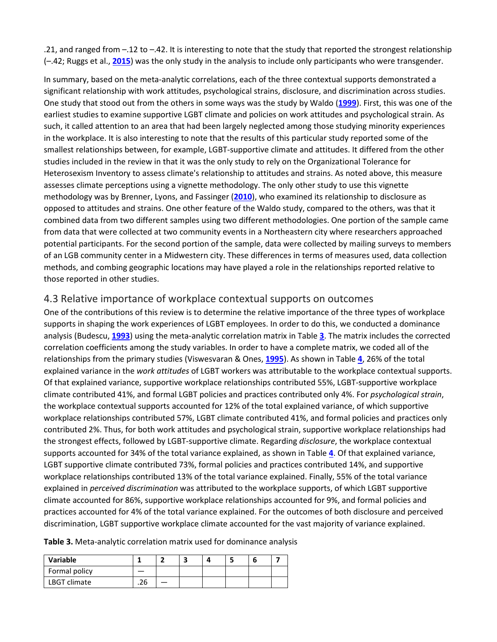.21, and ranged from –.12 to –.42. It is interesting to note that the study that reported the strongest relationship (–.42; Ruggs et al., **[2015](https://onlinelibrary.wiley.com/doi/full/10.1002/hrm.21873#hrm21873-bib-0119)**) was the only study in the analysis to include only participants who were transgender.

In summary, based on the meta-analytic correlations, each of the three contextual supports demonstrated a significant relationship with work attitudes, psychological strains, disclosure, and discrimination across studies. One study that stood out from the others in some ways was the study by Waldo (**[1999](https://onlinelibrary.wiley.com/doi/full/10.1002/hrm.21873#hrm21873-bib-0135)**). First, this was one of the earliest studies to examine supportive LGBT climate and policies on work attitudes and psychological strain. As such, it called attention to an area that had been largely neglected among those studying minority experiences in the workplace. It is also interesting to note that the results of this particular study reported some of the smallest relationships between, for example, LGBT-supportive climate and attitudes. It differed from the other studies included in the review in that it was the only study to rely on the Organizational Tolerance for Heterosexism Inventory to assess climate's relationship to attitudes and strains. As noted above, this measure assesses climate perceptions using a vignette methodology. The only other study to use this vignette methodology was by Brenner, Lyons, and Fassinger (**[2010](https://onlinelibrary.wiley.com/doi/full/10.1002/hrm.21873#hrm21873-bib-0017)**), who examined its relationship to disclosure as opposed to attitudes and strains. One other feature of the Waldo study, compared to the others, was that it combined data from two different samples using two different methodologies. One portion of the sample came from data that were collected at two community events in a Northeastern city where researchers approached potential participants. For the second portion of the sample, data were collected by mailing surveys to members of an LGB community center in a Midwestern city. These differences in terms of measures used, data collection methods, and combing geographic locations may have played a role in the relationships reported relative to those reported in other studies.

#### 4.3 Relative importance of workplace contextual supports on outcomes

One of the contributions of this review is to determine the relative importance of the three types of workplace supports in shaping the work experiences of LGBT employees. In order to do this, we conducted a dominance analysis (Budescu, **[1993](https://onlinelibrary.wiley.com/doi/full/10.1002/hrm.21873#hrm21873-bib-0020)**) using the meta-analytic correlation matrix in Table **[3](https://onlinelibrary.wiley.com/doi/full/10.1002/hrm.21873#hrm21873-tbl-0003)**. The matrix includes the corrected correlation coefficients among the study variables. In order to have a complete matrix, we coded all of the relationships from the primary studies (Viswesvaran & Ones, **[1995](https://onlinelibrary.wiley.com/doi/full/10.1002/hrm.21873#hrm21873-bib-0134)**). As shown in Table **[4](https://onlinelibrary.wiley.com/doi/full/10.1002/hrm.21873#hrm21873-tbl-0004)**, 26% of the total explained variance in the *work attitudes* of LGBT workers was attributable to the workplace contextual supports. Of that explained variance, supportive workplace relationships contributed 55%, LGBT-supportive workplace climate contributed 41%, and formal LGBT policies and practices contributed only 4%. For *psychological strain*, the workplace contextual supports accounted for 12% of the total explained variance, of which supportive workplace relationships contributed 57%, LGBT climate contributed 41%, and formal policies and practices only contributed 2%. Thus, for both work attitudes and psychological strain, supportive workplace relationships had the strongest effects, followed by LGBT-supportive climate. Regarding *disclosure*, the workplace contextual supports accounted for 34% of the total variance explained, as shown in Table **[4](https://onlinelibrary.wiley.com/doi/full/10.1002/hrm.21873#hrm21873-tbl-0004)**. Of that explained variance, LGBT supportive climate contributed 73%, formal policies and practices contributed 14%, and supportive workplace relationships contributed 13% of the total variance explained. Finally, 55% of the total variance explained in *perceived discrimination* was attributed to the workplace supports, of which LGBT supportive climate accounted for 86%, supportive workplace relationships accounted for 9%, and formal policies and practices accounted for 4% of the total variance explained. For the outcomes of both disclosure and perceived discrimination, LGBT supportive workplace climate accounted for the vast majority of variance explained.

**Table 3.** Meta-analytic correlation matrix used for dominance analysis

| Variable      |    |  |  |  |
|---------------|----|--|--|--|
| Formal policy |    |  |  |  |
| LBGT climate  | 26 |  |  |  |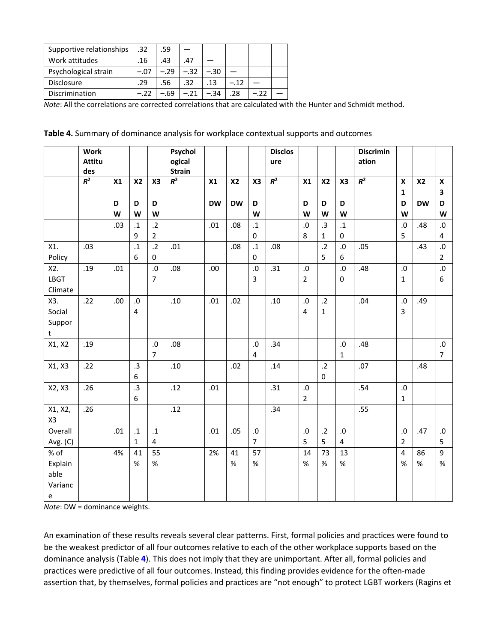| Supportive relationships | .32    | .59    |        |      |       |  |
|--------------------------|--------|--------|--------|------|-------|--|
| Work attitudes           | .16    | .43    | .47    |      |       |  |
| Psychological strain     | -.07   | $-.29$ | $-.32$ | -.30 |       |  |
| <b>Disclosure</b>        | .29    | .56    | .32    | .13  | $-12$ |  |
| Discrimination           | $-.22$ | - 69   | $-.21$ | -.34 | .28   |  |

*Note*: All the correlations are corrected correlations that are calculated with the Hunter and Schmidt method.

|  |  |  | Table 4. Summary of dominance analysis for workplace contextual supports and outcomes |
|--|--|--|---------------------------------------------------------------------------------------|
|--|--|--|---------------------------------------------------------------------------------------|

|               | <b>Work</b><br><b>Attitu</b><br>des |      |                |                              | Psychol<br>ogical<br><b>Strain</b> |           |                |                        | <b>Disclos</b><br>ure |                 |                    |                    | <b>Discrimin</b><br>ation |                           |           |                              |
|---------------|-------------------------------------|------|----------------|------------------------------|------------------------------------|-----------|----------------|------------------------|-----------------------|-----------------|--------------------|--------------------|---------------------------|---------------------------|-----------|------------------------------|
|               | $R^2$                               | X1   | <b>X2</b>      | X3                           | $R^2$                              | X1        | X <sub>2</sub> | X <sub>3</sub>         | $R^2$                 | X1              | X <sub>2</sub>     | X3                 | $R^2$                     | $\boldsymbol{\mathsf{x}}$ | <b>X2</b> | $\boldsymbol{\mathsf{x}}$    |
|               |                                     |      |                |                              |                                    |           |                |                        |                       |                 |                    |                    |                           | $\mathbf{1}$              |           | 3                            |
|               |                                     | D    | D              | D                            |                                    | <b>DW</b> | <b>DW</b>      | D                      |                       | D               | D                  | D                  |                           | D                         | <b>DW</b> | D                            |
|               |                                     | W    | W              | W                            |                                    |           |                | W                      |                       | W               | W                  | W                  |                           | W                         |           | W                            |
|               |                                     | .03  | $\cdot$ 1<br>9 | $\cdot$ .2<br>$\overline{2}$ |                                    | .01       | .08            | $\cdot$ 1<br>$\pmb{0}$ |                       | ${\bf .0}$<br>8 | .3<br>$\mathbf{1}$ | $\mathbf{.1}$<br>0 |                           | ${\bf .0}$<br>5           | .48       | ${\bf .0}$<br>$\overline{4}$ |
| X1.           | .03                                 |      | $\cdot$ 1      | $\cdot$ .2                   | .01                                |           | .08            | $\mathbf{.1}$          | .08                   |                 | $\cdot$ .2         | ${\bf .0}$         | .05                       |                           | .43       | ${\bf .0}$                   |
| Policy        |                                     |      | 6              | $\mathbf 0$                  |                                    |           |                | $\mathbf 0$            |                       |                 | 5                  | 6                  |                           |                           |           | $\overline{2}$               |
| X2.           | .19                                 | .01  |                | ${\bf .0}$                   | .08                                | .00       |                | $.0\,$                 | .31                   | ${\bf .0}$      |                    | .0                 | .48                       | ${\bf .0}$                |           | ${\bf .0}$                   |
| <b>LBGT</b>   |                                     |      |                | $\overline{7}$               |                                    |           |                | 3                      |                       | $\overline{2}$  |                    | 0                  |                           | $\mathbf{1}$              |           | 6                            |
| Climate       |                                     |      |                |                              |                                    |           |                |                        |                       |                 |                    |                    |                           |                           |           |                              |
| X3.           | .22                                 | .00. | ${\bf .0}$     |                              | .10                                | .01       | .02            |                        | .10                   | ${\bf .0}$      | $.2\phantom{0}$    |                    | .04                       | ${\bf .0}$                | .49       |                              |
| Social        |                                     |      | 4              |                              |                                    |           |                |                        |                       | $\overline{4}$  | $\mathbf{1}$       |                    |                           | $\overline{3}$            |           |                              |
| Suppor        |                                     |      |                |                              |                                    |           |                |                        |                       |                 |                    |                    |                           |                           |           |                              |
| t             |                                     |      |                |                              |                                    |           |                |                        |                       |                 |                    |                    |                           |                           |           |                              |
| X1, X2        | .19                                 |      |                | ${\bf .0}$                   | .08                                |           |                | $.0\,$                 | .34                   |                 |                    | .0                 | .48                       |                           |           | ${\bf .0}$                   |
|               |                                     |      |                | $\overline{7}$               |                                    |           |                | $\overline{4}$         |                       |                 |                    | $\mathbf{1}$       |                           |                           |           | $\overline{7}$               |
| X1, X3        | .22                                 |      | .3             |                              | .10                                |           | .02            |                        | .14                   |                 | $.2\phantom{0}$    |                    | .07                       |                           | .48       |                              |
|               |                                     |      | 6              |                              |                                    |           |                |                        |                       |                 | $\mathbf 0$        |                    |                           |                           |           |                              |
| X2, X3        | .26                                 |      | .3             |                              | .12                                | .01       |                |                        | .31                   | $\cdot 0$       |                    |                    | .54                       | ${\bf .0}$                |           |                              |
|               |                                     |      | 6              |                              |                                    |           |                |                        |                       | $\overline{2}$  |                    |                    |                           | $\mathbf{1}$              |           |                              |
| X1, X2,<br>X3 | .26                                 |      |                |                              | .12                                |           |                |                        | .34                   |                 |                    |                    | .55                       |                           |           |                              |
| Overall       |                                     | .01  | $\cdot$ 1      | $\cdot$ 1                    |                                    | .01       | .05            | ${\bf .0}$             |                       | ${\bf .0}$      | $\cdot$ .2         | ${\bf .0}$         |                           | ${\bf .0}$                | .47       | ${\bf .0}$                   |
| Avg. (C)      |                                     |      | $\mathbf{1}$   | $\overline{4}$               |                                    |           |                | $\overline{7}$         |                       | 5               | 5                  | 4                  |                           | $\overline{2}$            |           | 5                            |
| % of          |                                     | 4%   | 41             | 55                           |                                    | 2%        | 41             | 57                     |                       | 14              | 73                 | 13                 |                           | $\overline{4}$            | 86        | 9                            |
| Explain       |                                     |      | $\%$           | $\%$                         |                                    |           | $\%$           | $\%$                   |                       | $\%$            | $\%$               | $\%$               |                           | %                         | $\%$      | $\%$                         |
| able          |                                     |      |                |                              |                                    |           |                |                        |                       |                 |                    |                    |                           |                           |           |                              |
| Varianc       |                                     |      |                |                              |                                    |           |                |                        |                       |                 |                    |                    |                           |                           |           |                              |
| e             |                                     |      |                |                              |                                    |           |                |                        |                       |                 |                    |                    |                           |                           |           |                              |

*Note*: DW = dominance weights.

An examination of these results reveals several clear patterns. First, formal policies and practices were found to be the weakest predictor of all four outcomes relative to each of the other workplace supports based on the dominance analysis (Table **[4](https://onlinelibrary.wiley.com/doi/full/10.1002/hrm.21873#hrm21873-tbl-0004)**). This does not imply that they are unimportant. After all, formal policies and practices were predictive of all four outcomes. Instead, this finding provides evidence for the often-made assertion that, by themselves, formal policies and practices are "not enough" to protect LGBT workers (Ragins et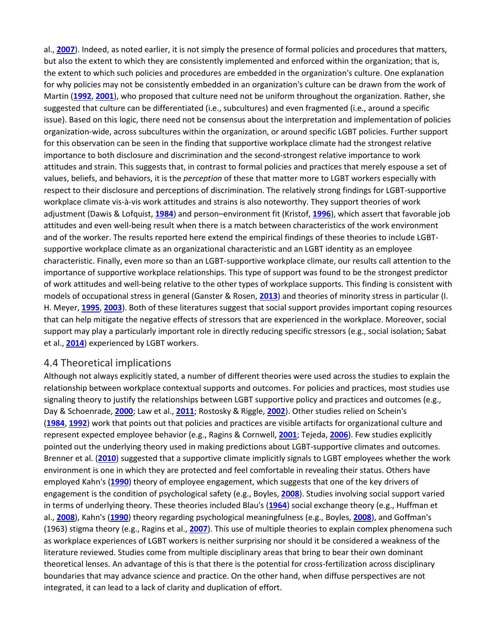al., **[2007](https://onlinelibrary.wiley.com/doi/full/10.1002/hrm.21873#hrm21873-bib-0113)**). Indeed, as noted earlier, it is not simply the presence of formal policies and procedures that matters, but also the extent to which they are consistently implemented and enforced within the organization; that is, the extent to which such policies and procedures are embedded in the organization's culture. One explanation for why policies may not be consistently embedded in an organization's culture can be drawn from the work of Martin (**[1992](https://onlinelibrary.wiley.com/doi/full/10.1002/hrm.21873#hrm21873-bib-0087)**, **[2001](https://onlinelibrary.wiley.com/doi/full/10.1002/hrm.21873#hrm21873-bib-0088)**), who proposed that culture need not be uniform throughout the organization. Rather, she suggested that culture can be differentiated (i.e., subcultures) and even fragmented (i.e., around a specific issue). Based on this logic, there need not be consensus about the interpretation and implementation of policies organization-wide, across subcultures within the organization, or around specific LGBT policies. Further support for this observation can be seen in the finding that supportive workplace climate had the strongest relative importance to both disclosure and discrimination and the second-strongest relative importance to work attitudes and strain. This suggests that, in contrast to formal policies and practices that merely espouse a set of values, beliefs, and behaviors, it is the *perception* of these that matter more to LGBT workers especially with respect to their disclosure and perceptions of discrimination. The relatively strong findings for LGBT-supportive workplace climate vis-à-vis work attitudes and strains is also noteworthy. They support theories of work adjustment (Dawis & Lofquist, **[1984](https://onlinelibrary.wiley.com/doi/full/10.1002/hrm.21873#hrm21873-bib-0036)**) and person–environment fit (Kristof, **[1996](https://onlinelibrary.wiley.com/doi/full/10.1002/hrm.21873#hrm21873-bib-0082)**), which assert that favorable job attitudes and even well-being result when there is a match between characteristics of the work environment and of the worker. The results reported here extend the empirical findings of these theories to include LGBTsupportive workplace climate as an organizational characteristic and an LGBT identity as an employee characteristic. Finally, even more so than an LGBT-supportive workplace climate, our results call attention to the importance of supportive workplace relationships. This type of support was found to be the strongest predictor of work attitudes and well-being relative to the other types of workplace supports. This finding is consistent with models of occupational stress in general (Ganster & Rosen, **[2013](https://onlinelibrary.wiley.com/doi/full/10.1002/hrm.21873#hrm21873-bib-0052)**) and theories of minority stress in particular (I. H. Meyer, **[1995](https://onlinelibrary.wiley.com/doi/full/10.1002/hrm.21873#hrm21873-bib-0093)**, **[2003](https://onlinelibrary.wiley.com/doi/full/10.1002/hrm.21873#hrm21873-bib-0094)**). Both of these literatures suggest that social support provides important coping resources that can help mitigate the negative effects of stressors that are experienced in the workplace. Moreover, social support may play a particularly important role in directly reducing specific stressors (e.g., social isolation; Sabat et al., **[2014](https://onlinelibrary.wiley.com/doi/full/10.1002/hrm.21873#hrm21873-bib-0121)**) experienced by LGBT workers.

#### 4.4 Theoretical implications

Although not always explicitly stated, a number of different theories were used across the studies to explain the relationship between workplace contextual supports and outcomes. For policies and practices, most studies use signaling theory to justify the relationships between LGBT supportive policy and practices and outcomes (e.g., Day & Schoenrade, **[2000](https://onlinelibrary.wiley.com/doi/full/10.1002/hrm.21873#hrm21873-bib-0038)**; Law et al., **[2011](https://onlinelibrary.wiley.com/doi/full/10.1002/hrm.21873#hrm21873-bib-0084)**; Rostosky & Riggle, **[2002](https://onlinelibrary.wiley.com/doi/full/10.1002/hrm.21873#hrm21873-bib-0118)**). Other studies relied on Schein's (**[1984](https://onlinelibrary.wiley.com/doi/full/10.1002/hrm.21873#hrm21873-bib-0144)**, **[1992](https://onlinelibrary.wiley.com/doi/full/10.1002/hrm.21873#hrm21873-bib-0124)**) work that points out that policies and practices are visible artifacts for organizational culture and represent expected employee behavior (e.g., Ragins & Cornwell, **[2001](https://onlinelibrary.wiley.com/doi/full/10.1002/hrm.21873#hrm21873-bib-0112)**; Tejeda, **[2006](https://onlinelibrary.wiley.com/doi/full/10.1002/hrm.21873#hrm21873-bib-0129)**). Few studies explicitly pointed out the underlying theory used in making predictions about LGBT-supportive climates and outcomes. Brenner et al. (**[2010](https://onlinelibrary.wiley.com/doi/full/10.1002/hrm.21873#hrm21873-bib-0017)**) suggested that a supportive climate implicitly signals to LGBT employees whether the work environment is one in which they are protected and feel comfortable in revealing their status. Others have employed Kahn's (**[1990](https://onlinelibrary.wiley.com/doi/full/10.1002/hrm.21873#hrm21873-bib-0075)**) theory of employee engagement, which suggests that one of the key drivers of engagement is the condition of psychological safety (e.g., Boyles, **[2008](https://onlinelibrary.wiley.com/doi/full/10.1002/hrm.21873#hrm21873-bib-0015)**). Studies involving social support varied in terms of underlying theory. These theories included Blau's (**[1964](https://onlinelibrary.wiley.com/doi/full/10.1002/hrm.21873#hrm21873-bib-0139)**) social exchange theory (e.g., Huffman et al., **[2008](https://onlinelibrary.wiley.com/doi/full/10.1002/hrm.21873#hrm21873-bib-0064)**), Kahn's (**[1990](https://onlinelibrary.wiley.com/doi/full/10.1002/hrm.21873#hrm21873-bib-0075)**) theory regarding psychological meaningfulness (e.g., Boyles, **[2008](https://onlinelibrary.wiley.com/doi/full/10.1002/hrm.21873#hrm21873-bib-0015)**), and Goffman's (1963) stigma theory (e.g., Ragins et al., **[2007](https://onlinelibrary.wiley.com/doi/full/10.1002/hrm.21873#hrm21873-bib-0113)**). This use of multiple theories to explain complex phenomena such as workplace experiences of LGBT workers is neither surprising nor should it be considered a weakness of the literature reviewed. Studies come from multiple disciplinary areas that bring to bear their own dominant theoretical lenses. An advantage of this is that there is the potential for cross-fertilization across disciplinary boundaries that may advance science and practice. On the other hand, when diffuse perspectives are not integrated, it can lead to a lack of clarity and duplication of effort.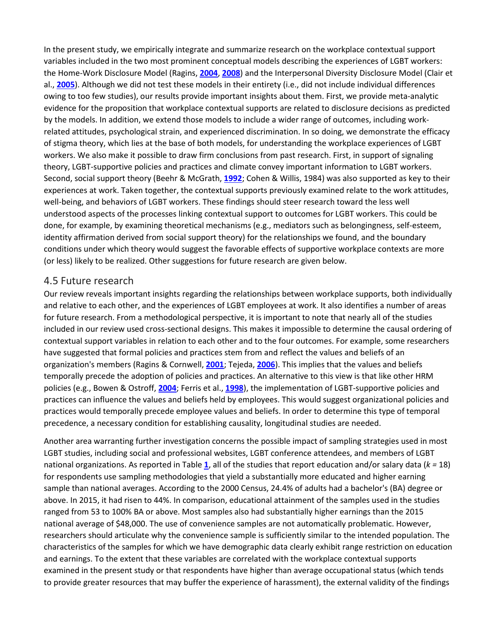In the present study, we empirically integrate and summarize research on the workplace contextual support variables included in the two most prominent conceptual models describing the experiences of LGBT workers: the Home-Work Disclosure Model (Ragins, **[2004](https://onlinelibrary.wiley.com/doi/full/10.1002/hrm.21873#hrm21873-bib-0110)**, **[2008](https://onlinelibrary.wiley.com/doi/full/10.1002/hrm.21873#hrm21873-bib-0111)**) and the Interpersonal Diversity Disclosure Model (Clair et al., **[2005](https://onlinelibrary.wiley.com/doi/full/10.1002/hrm.21873#hrm21873-bib-0029)**). Although we did not test these models in their entirety (i.e., did not include individual differences owing to too few studies), our results provide important insights about them. First, we provide meta-analytic evidence for the proposition that workplace contextual supports are related to disclosure decisions as predicted by the models. In addition, we extend those models to include a wider range of outcomes, including workrelated attitudes, psychological strain, and experienced discrimination. In so doing, we demonstrate the efficacy of stigma theory, which lies at the base of both models, for understanding the workplace experiences of LGBT workers. We also make it possible to draw firm conclusions from past research. First, in support of signaling theory, LGBT-supportive policies and practices and climate convey important information to LGBT workers. Second, social support theory (Beehr & McGrath, **[1992](https://onlinelibrary.wiley.com/doi/full/10.1002/hrm.21873#hrm21873-bib-0012)**; Cohen & Willis, 1984) was also supported as key to their experiences at work. Taken together, the contextual supports previously examined relate to the work attitudes, well-being, and behaviors of LGBT workers. These findings should steer research toward the less well understood aspects of the processes linking contextual support to outcomes for LGBT workers. This could be done, for example, by examining theoretical mechanisms (e.g., mediators such as belongingness, self-esteem, identity affirmation derived from social support theory) for the relationships we found, and the boundary conditions under which theory would suggest the favorable effects of supportive workplace contexts are more (or less) likely to be realized. Other suggestions for future research are given below.

#### 4.5 Future research

Our review reveals important insights regarding the relationships between workplace supports, both individually and relative to each other, and the experiences of LGBT employees at work. It also identifies a number of areas for future research. From a methodological perspective, it is important to note that nearly all of the studies included in our review used cross-sectional designs. This makes it impossible to determine the causal ordering of contextual support variables in relation to each other and to the four outcomes. For example, some researchers have suggested that formal policies and practices stem from and reflect the values and beliefs of an organization's members (Ragins & Cornwell, **[2001](https://onlinelibrary.wiley.com/doi/full/10.1002/hrm.21873#hrm21873-bib-0112)**; Tejeda, **[2006](https://onlinelibrary.wiley.com/doi/full/10.1002/hrm.21873#hrm21873-bib-0129)**). This implies that the values and beliefs temporally precede the adoption of policies and practices. An alternative to this view is that like other HRM policies (e.g., Bowen & Ostroff, **[2004](https://onlinelibrary.wiley.com/doi/full/10.1002/hrm.21873#hrm21873-bib-0014)**; Ferris et al., **[1998](https://onlinelibrary.wiley.com/doi/full/10.1002/hrm.21873#hrm21873-bib-0048)**), the implementation of LGBT-supportive policies and practices can influence the values and beliefs held by employees. This would suggest organizational policies and practices would temporally precede employee values and beliefs. In order to determine this type of temporal precedence, a necessary condition for establishing causality, longitudinal studies are needed.

Another area warranting further investigation concerns the possible impact of sampling strategies used in most LGBT studies, including social and professional websites, LGBT conference attendees, and members of LGBT national organizations. As reported in Table **[1](https://onlinelibrary.wiley.com/doi/full/10.1002/hrm.21873#hrm21873-tbl-0001)**, all of the studies that report education and/or salary data (*k =* 18) for respondents use sampling methodologies that yield a substantially more educated and higher earning sample than national averages. According to the 2000 Census, 24.4% of adults had a bachelor's (BA) degree or above. In 2015, it had risen to 44%. In comparison, educational attainment of the samples used in the studies ranged from 53 to 100% BA or above. Most samples also had substantially higher earnings than the 2015 national average of \$48,000. The use of convenience samples are not automatically problematic. However, researchers should articulate why the convenience sample is sufficiently similar to the intended population. The characteristics of the samples for which we have demographic data clearly exhibit range restriction on education and earnings. To the extent that these variables are correlated with the workplace contextual supports examined in the present study or that respondents have higher than average occupational status (which tends to provide greater resources that may buffer the experience of harassment), the external validity of the findings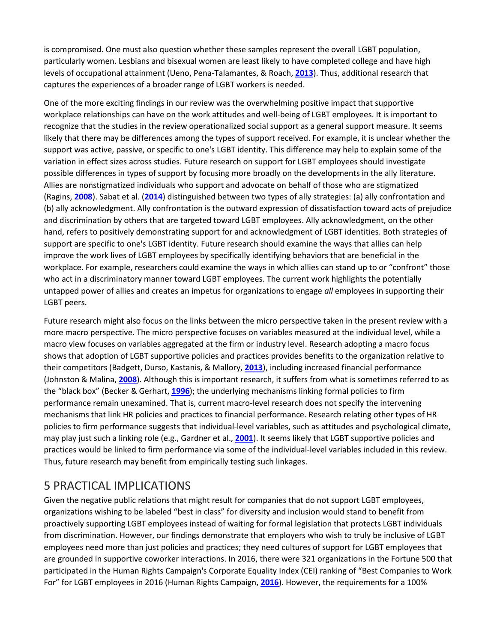is compromised. One must also question whether these samples represent the overall LGBT population, particularly women. Lesbians and bisexual women are least likely to have completed college and have high levels of occupational attainment (Ueno, Pena-Talamantes, & Roach, **[2013](https://onlinelibrary.wiley.com/doi/full/10.1002/hrm.21873#hrm21873-bib-0132)**). Thus, additional research that captures the experiences of a broader range of LGBT workers is needed.

One of the more exciting findings in our review was the overwhelming positive impact that supportive workplace relationships can have on the work attitudes and well-being of LGBT employees. It is important to recognize that the studies in the review operationalized social support as a general support measure. It seems likely that there may be differences among the types of support received. For example, it is unclear whether the support was active, passive, or specific to one's LGBT identity. This difference may help to explain some of the variation in effect sizes across studies. Future research on support for LGBT employees should investigate possible differences in types of support by focusing more broadly on the developments in the ally literature. Allies are nonstigmatized individuals who support and advocate on behalf of those who are stigmatized (Ragins, **[2008](https://onlinelibrary.wiley.com/doi/full/10.1002/hrm.21873#hrm21873-bib-0111)**). Sabat et al. (**[2014](https://onlinelibrary.wiley.com/doi/full/10.1002/hrm.21873#hrm21873-bib-0121)**) distinguished between two types of ally strategies: (a) ally confrontation and (b) ally acknowledgment. Ally confrontation is the outward expression of dissatisfaction toward acts of prejudice and discrimination by others that are targeted toward LGBT employees. Ally acknowledgment, on the other hand, refers to positively demonstrating support for and acknowledgment of LGBT identities. Both strategies of support are specific to one's LGBT identity. Future research should examine the ways that allies can help improve the work lives of LGBT employees by specifically identifying behaviors that are beneficial in the workplace. For example, researchers could examine the ways in which allies can stand up to or "confront" those who act in a discriminatory manner toward LGBT employees. The current work highlights the potentially untapped power of allies and creates an impetus for organizations to engage *all* employees in supporting their LGBT peers.

Future research might also focus on the links between the micro perspective taken in the present review with a more macro perspective. The micro perspective focuses on variables measured at the individual level, while a macro view focuses on variables aggregated at the firm or industry level. Research adopting a macro focus shows that adoption of LGBT supportive policies and practices provides benefits to the organization relative to their competitors (Badgett, Durso, Kastanis, & Mallory, **[2013](https://onlinelibrary.wiley.com/doi/full/10.1002/hrm.21873#hrm21873-bib-0007)**), including increased financial performance (Johnston & Malina, **[2008](https://onlinelibrary.wiley.com/doi/full/10.1002/hrm.21873#hrm21873-bib-0072)**). Although this is important research, it suffers from what is sometimes referred to as the "black box" (Becker & Gerhart, **[1996](https://onlinelibrary.wiley.com/doi/full/10.1002/hrm.21873#hrm21873-bib-0011)**); the underlying mechanisms linking formal policies to firm performance remain unexamined. That is, current macro-level research does not specify the intervening mechanisms that link HR policies and practices to financial performance. Research relating other types of HR policies to firm performance suggests that individual-level variables, such as attitudes and psychological climate, may play just such a linking role (e.g., Gardner et al., **[2001](https://onlinelibrary.wiley.com/doi/full/10.1002/hrm.21873#hrm21873-bib-0140)**). It seems likely that LGBT supportive policies and practices would be linked to firm performance via some of the individual-level variables included in this review. Thus, future research may benefit from empirically testing such linkages.

## 5 PRACTICAL IMPLICATIONS

Given the negative public relations that might result for companies that do not support LGBT employees, organizations wishing to be labeled "best in class" for diversity and inclusion would stand to benefit from proactively supporting LGBT employees instead of waiting for formal legislation that protects LGBT individuals from discrimination. However, our findings demonstrate that employers who wish to truly be inclusive of LGBT employees need more than just policies and practices; they need cultures of support for LGBT employees that are grounded in supportive coworker interactions. In 2016, there were 321 organizations in the Fortune 500 that participated in the Human Rights Campaign's Corporate Equality Index (CEI) ranking of "Best Companies to Work For" for LGBT employees in 2016 (Human Rights Campaign, **[2016](https://onlinelibrary.wiley.com/doi/full/10.1002/hrm.21873#hrm21873-bib-0065)**). However, the requirements for a 100%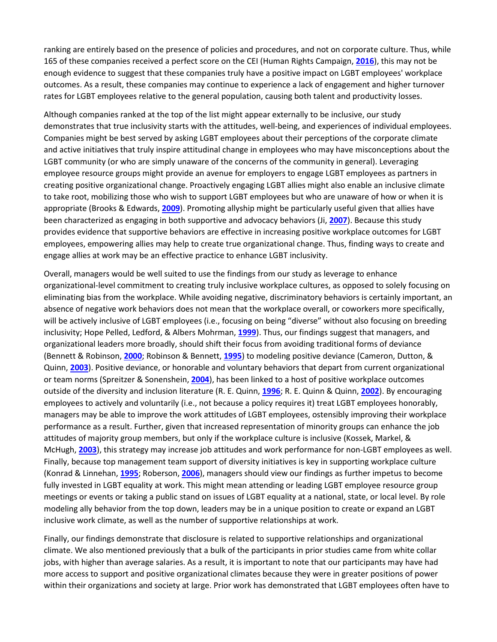ranking are entirely based on the presence of policies and procedures, and not on corporate culture. Thus, while 165 of these companies received a perfect score on the CEI (Human Rights Campaign, **[2016](https://onlinelibrary.wiley.com/doi/full/10.1002/hrm.21873#hrm21873-bib-0065)**), this may not be enough evidence to suggest that these companies truly have a positive impact on LGBT employees' workplace outcomes. As a result, these companies may continue to experience a lack of engagement and higher turnover rates for LGBT employees relative to the general population, causing both talent and productivity losses.

Although companies ranked at the top of the list might appear externally to be inclusive, our study demonstrates that true inclusivity starts with the attitudes, well-being, and experiences of individual employees. Companies might be best served by asking LGBT employees about their perceptions of the corporate climate and active initiatives that truly inspire attitudinal change in employees who may have misconceptions about the LGBT community (or who are simply unaware of the concerns of the community in general). Leveraging employee resource groups might provide an avenue for employers to engage LGBT employees as partners in creating positive organizational change. Proactively engaging LGBT allies might also enable an inclusive climate to take root, mobilizing those who wish to support LGBT employees but who are unaware of how or when it is appropriate (Brooks & Edwards, **[2009](https://onlinelibrary.wiley.com/doi/full/10.1002/hrm.21873#hrm21873-bib-0019)**). Promoting allyship might be particularly useful given that allies have been characterized as engaging in both supportive and advocacy behaviors (Ji, **[2007](https://onlinelibrary.wiley.com/doi/full/10.1002/hrm.21873#hrm21873-bib-0071)**). Because this study provides evidence that supportive behaviors are effective in increasing positive workplace outcomes for LGBT employees, empowering allies may help to create true organizational change. Thus, finding ways to create and engage allies at work may be an effective practice to enhance LGBT inclusivity.

Overall, managers would be well suited to use the findings from our study as leverage to enhance organizational-level commitment to creating truly inclusive workplace cultures, as opposed to solely focusing on eliminating bias from the workplace. While avoiding negative, discriminatory behaviors is certainly important, an absence of negative work behaviors does not mean that the workplace overall, or coworkers more specifically, will be actively inclusive of LGBT employees (i.e., focusing on being "diverse" without also focusing on breeding inclusivity; Hope Pelled, Ledford, & Albers Mohrman, **[1999](https://onlinelibrary.wiley.com/doi/full/10.1002/hrm.21873#hrm21873-bib-0061)**). Thus, our findings suggest that managers, and organizational leaders more broadly, should shift their focus from avoiding traditional forms of deviance (Bennett & Robinson, **[2000](https://onlinelibrary.wiley.com/doi/full/10.1002/hrm.21873#hrm21873-bib-0013)**; Robinson & Bennett, **[1995](https://onlinelibrary.wiley.com/doi/full/10.1002/hrm.21873#hrm21873-bib-0117)**) to modeling positive deviance (Cameron, Dutton, & Quinn, **[2003](https://onlinelibrary.wiley.com/doi/full/10.1002/hrm.21873#hrm21873-bib-0024)**). Positive deviance, or honorable and voluntary behaviors that depart from current organizational or team norms (Spreitzer & Sonenshein, **[2004](https://onlinelibrary.wiley.com/doi/full/10.1002/hrm.21873#hrm21873-bib-0127)**), has been linked to a host of positive workplace outcomes outside of the diversity and inclusion literature (R. E. Quinn, **[1996](https://onlinelibrary.wiley.com/doi/full/10.1002/hrm.21873#hrm21873-bib-0106)**; R. E. Quinn & Quinn, **[2002](https://onlinelibrary.wiley.com/doi/full/10.1002/hrm.21873#hrm21873-bib-0107)**). By encouraging employees to actively and voluntarily (i.e., not because a policy requires it) treat LGBT employees honorably, managers may be able to improve the work attitudes of LGBT employees, ostensibly improving their workplace performance as a result. Further, given that increased representation of minority groups can enhance the job attitudes of majority group members, but only if the workplace culture is inclusive (Kossek, Markel, & McHugh, **[2003](https://onlinelibrary.wiley.com/doi/full/10.1002/hrm.21873#hrm21873-bib-0081)**), this strategy may increase job attitudes and work performance for non-LGBT employees as well. Finally, because top management team support of diversity initiatives is key in supporting workplace culture (Konrad & Linnehan, **[1995](https://onlinelibrary.wiley.com/doi/full/10.1002/hrm.21873#hrm21873-bib-0080)**; Roberson, **[2006](https://onlinelibrary.wiley.com/doi/full/10.1002/hrm.21873#hrm21873-bib-0116)**), managers should view our findings as further impetus to become fully invested in LGBT equality at work. This might mean attending or leading LGBT employee resource group meetings or events or taking a public stand on issues of LGBT equality at a national, state, or local level. By role modeling ally behavior from the top down, leaders may be in a unique position to create or expand an LGBT inclusive work climate, as well as the number of supportive relationships at work.

Finally, our findings demonstrate that disclosure is related to supportive relationships and organizational climate. We also mentioned previously that a bulk of the participants in prior studies came from white collar jobs, with higher than average salaries. As a result, it is important to note that our participants may have had more access to support and positive organizational climates because they were in greater positions of power within their organizations and society at large. Prior work has demonstrated that LGBT employees often have to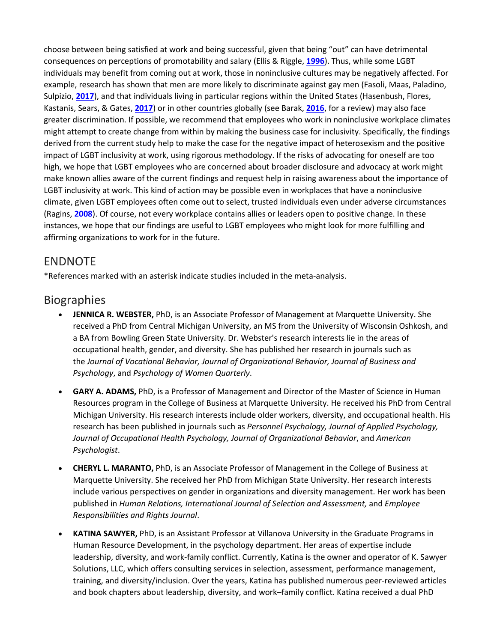choose between being satisfied at work and being successful, given that being "out" can have detrimental consequences on perceptions of promotability and salary (Ellis & Riggle, **[1996](https://onlinelibrary.wiley.com/doi/full/10.1002/hrm.21873#hrm21873-bib-0046)**). Thus, while some LGBT individuals may benefit from coming out at work, those in noninclusive cultures may be negatively affected. For example, research has shown that men are more likely to discriminate against gay men (Fasoli, Maas, Paladino, Sulpizio, **[2017](https://onlinelibrary.wiley.com/doi/full/10.1002/hrm.21873#hrm21873-bib-0047)**), and that individuals living in particular regions within the United States (Hasenbush, Flores, Kastanis, Sears, & Gates, **[2017](https://onlinelibrary.wiley.com/doi/full/10.1002/hrm.21873#hrm21873-bib-0058)**) or in other countries globally (see Barak, **[2016](https://onlinelibrary.wiley.com/doi/full/10.1002/hrm.21873#hrm21873-bib-0009)**, for a review) may also face greater discrimination. If possible, we recommend that employees who work in noninclusive workplace climates might attempt to create change from within by making the business case for inclusivity. Specifically, the findings derived from the current study help to make the case for the negative impact of heterosexism and the positive impact of LGBT inclusivity at work, using rigorous methodology. If the risks of advocating for oneself are too high, we hope that LGBT employees who are concerned about broader disclosure and advocacy at work might make known allies aware of the current findings and request help in raising awareness about the importance of LGBT inclusivity at work. This kind of action may be possible even in workplaces that have a noninclusive climate, given LGBT employees often come out to select, trusted individuals even under adverse circumstances (Ragins, **[2008](https://onlinelibrary.wiley.com/doi/full/10.1002/hrm.21873#hrm21873-bib-0111)**). Of course, not every workplace contains allies or leaders open to positive change. In these instances, we hope that our findings are useful to LGBT employees who might look for more fulfilling and affirming organizations to work for in the future.

## ENDNOTE

\*References marked with an asterisk indicate studies included in the meta-analysis.

## **Biographies**

- **JENNICA R. WEBSTER,** PhD, is an Associate Professor of Management at Marquette University. She received a PhD from Central Michigan University, an MS from the University of Wisconsin Oshkosh, and a BA from Bowling Green State University. Dr. Webster's research interests lie in the areas of occupational health, gender, and diversity. She has published her research in journals such as the *Journal of Vocational Behavior, Journal of Organizational Behavior, Journal of Business and Psychology*, and *Psychology of Women Quarterly*.
- **GARY A. ADAMS,** PhD, is a Professor of Management and Director of the Master of Science in Human Resources program in the College of Business at Marquette University. He received his PhD from Central Michigan University. His research interests include older workers, diversity, and occupational health. His research has been published in journals such as *Personnel Psychology, Journal of Applied Psychology, Journal of Occupational Health Psychology, Journal of Organizational Behavior*, and *American Psychologist*.
- **CHERYL L. MARANTO,** PhD, is an Associate Professor of Management in the College of Business at Marquette University. She received her PhD from Michigan State University. Her research interests include various perspectives on gender in organizations and diversity management. Her work has been published in *Human Relations, International Journal of Selection and Assessment,* and *Employee Responsibilities and Rights Journal*.
- **KATINA SAWYER,** PhD, is an Assistant Professor at Villanova University in the Graduate Programs in Human Resource Development, in the psychology department. Her areas of expertise include leadership, diversity, and work-family conflict. Currently, Katina is the owner and operator of K. Sawyer Solutions, LLC, which offers consulting services in selection, assessment, performance management, training, and diversity/inclusion. Over the years, Katina has published numerous peer-reviewed articles and book chapters about leadership, diversity, and work–family conflict. Katina received a dual PhD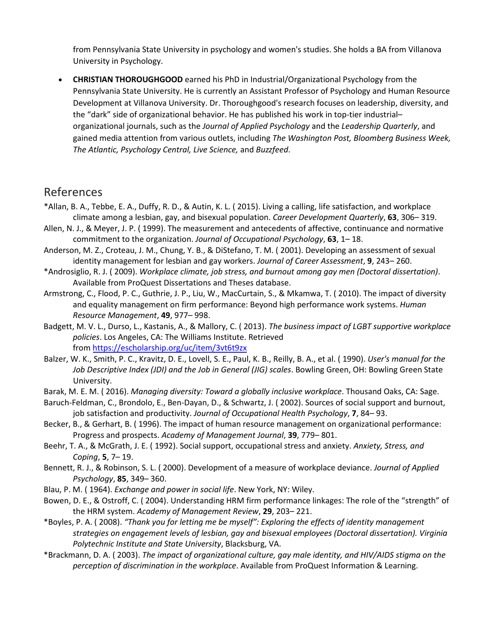from Pennsylvania State University in psychology and women's studies. She holds a BA from Villanova University in Psychology.

• **CHRISTIAN THOROUGHGOOD** earned his PhD in Industrial/Organizational Psychology from the Pennsylvania State University. He is currently an Assistant Professor of Psychology and Human Resource Development at Villanova University. Dr. Thoroughgood's research focuses on leadership, diversity, and the "dark" side of organizational behavior. He has published his work in top-tier industrial– organizational journals, such as the *Journal of Applied Psychology* and the *Leadership Quarterly*, and gained media attention from various outlets, including *The Washington Post, Bloomberg Business Week, The Atlantic, Psychology Central, Live Science,* and *Buzzfeed*.

## References

- \*Allan, B. A., Tebbe, E. A., Duffy, R. D., & Autin, K. L. ( 2015). Living a calling, life satisfaction, and workplace climate among a lesbian, gay, and bisexual population. *Career Development Quarterly*, **63**, 306– 319.
- Allen, N. J., & Meyer, J. P. ( 1999). The measurement and antecedents of affective, continuance and normative commitment to the organization. *Journal of Occupational Psychology*, **63**, 1– 18.
- Anderson, M. Z., Croteau, J. M., Chung, Y. B., & DiStefano, T. M. ( 2001). Developing an assessment of sexual identity management for lesbian and gay workers. *Journal of Career Assessment*, **9**, 243– 260.
- \*Androsiglio, R. J. ( 2009). *Workplace climate, job stress, and burnout among gay men (Doctoral dissertation)*. Available from ProQuest Dissertations and Theses database.
- Armstrong, C., Flood, P. C., Guthrie, J. P., Liu, W., MacCurtain, S., & Mkamwa, T. ( 2010). The impact of diversity and equality management on firm performance: Beyond high performance work systems. *Human Resource Management*, **49**, 977– 998.
- Badgett, M. V. L., Durso, L., Kastanis, A., & Mallory, C. ( 2013). *The business impact of LGBT supportive workplace policies*. Los Angeles, CA: The Williams Institute. Retrieved from <https://escholarship.org/uc/item/3vt6t9zx>
- Balzer, W. K., Smith, P. C., Kravitz, D. E., Lovell, S. E., Paul, K. B., Reilly, B. A., et al. ( 1990). *User's manual for the Job Descriptive Index (JDI) and the Job in General (JIG) scales*. Bowling Green, OH: Bowling Green State University.
- Barak, M. E. M. ( 2016). *Managing diversity: Toward a globally inclusive workplace*. Thousand Oaks, CA: Sage.
- Baruch-Feldman, C., Brondolo, E., Ben-Dayan, D., & Schwartz, J. ( 2002). Sources of social support and burnout, job satisfaction and productivity. *Journal of Occupational Health Psychology*, **7**, 84– 93.
- Becker, B., & Gerhart, B. ( 1996). The impact of human resource management on organizational performance: Progress and prospects. *Academy of Management Journal*, **39**, 779– 801.
- Beehr, T. A., & McGrath, J. E. ( 1992). Social support, occupational stress and anxiety. *Anxiety, Stress, and Coping*, **5**, 7– 19.
- Bennett, R. J., & Robinson, S. L. ( 2000). Development of a measure of workplace deviance. *Journal of Applied Psychology*, **85**, 349– 360.
- Blau, P. M. ( 1964). *Exchange and power in social life*. New York, NY: Wiley.
- Bowen, D. E., & Ostroff, C. ( 2004). Understanding HRM firm performance linkages: The role of the "strength" of the HRM system. *Academy of Management Review*, **29**, 203– 221.
- \*Boyles, P. A. ( 2008). *"Thank you for letting me be myself": Exploring the effects of identity management strategies on engagement levels of lesbian, gay and bisexual employees (Doctoral dissertation). Virginia Polytechnic Institute and State University*, Blacksburg, VA.
- \*Brackmann, D. A. ( 2003). *The impact of organizational culture, gay male identity, and HIV/AIDS stigma on the perception of discrimination in the workplace*. Available from ProQuest Information & Learning.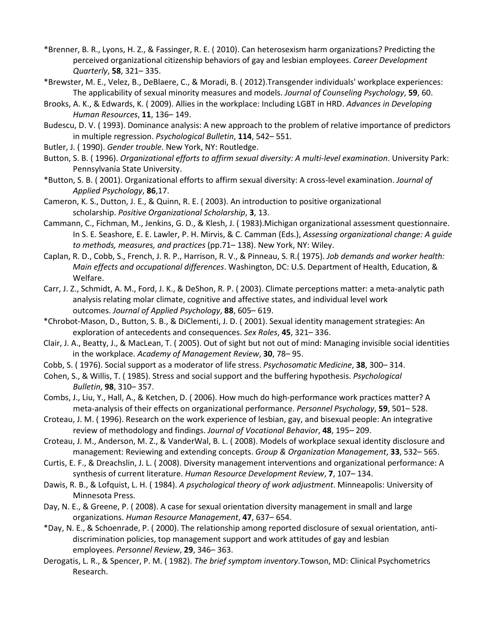- \*Brenner, B. R., Lyons, H. Z., & Fassinger, R. E. ( 2010). Can heterosexism harm organizations? Predicting the perceived organizational citizenship behaviors of gay and lesbian employees. *Career Development Quarterly*, **58**, 321– 335.
- \*Brewster, M. E., Velez, B., DeBlaere, C., & Moradi, B. ( 2012).Transgender individuals' workplace experiences: The applicability of sexual minority measures and models. *Journal of Counseling Psychology*, **59**, 60.
- Brooks, A. K., & Edwards, K. ( 2009). Allies in the workplace: Including LGBT in HRD. *Advances in Developing Human Resources*, **11**, 136– 149.
- Budescu, D. V. ( 1993). Dominance analysis: A new approach to the problem of relative importance of predictors in multiple regression. *Psychological Bulletin*, **114**, 542– 551.
- Butler, J. ( 1990). *Gender trouble*. New York, NY: Routledge.
- Button, S. B. ( 1996). *Organizational efforts to affirm sexual diversity: A multi‐level examination*. University Park: Pennsylvania State University.
- \*Button, S. B. ( 2001). Organizational efforts to affirm sexual diversity: A cross-level examination. *Journal of Applied Psychology*, **86**,17.
- Cameron, K. S., Dutton, J. E., & Quinn, R. E. ( 2003). An introduction to positive organizational scholarship. *Positive Organizational Scholarship*, **3**, 13.
- Cammann, C., Fichman, M., Jenkins, G. D., & Klesh, J. ( 1983).Michigan organizational assessment questionnaire. In S. E. Seashore, E. E. Lawler, P. H. Mirvis, & C. Camman (Eds.), *Assessing organizational change: A guide to methods, measures, and practices* (pp.71– 138). New York, NY: Wiley.
- Caplan, R. D., Cobb, S., French, J. R. P., Harrison, R. V., & Pinneau, S. R.( 1975). *Job demands and worker health: Main effects and occupational differences*. Washington, DC: U.S. Department of Health, Education, & Welfare.
- Carr, J. Z., Schmidt, A. M., Ford, J. K., & DeShon, R. P. ( 2003). Climate perceptions matter: a meta-analytic path analysis relating molar climate, cognitive and affective states, and individual level work outcomes. *Journal of Applied Psychology*, **88**, 605– 619.
- \*Chrobot-Mason, D., Button, S. B., & DiClementi, J. D. ( 2001). Sexual identity management strategies: An exploration of antecedents and consequences. *Sex Roles*, **45**, 321– 336.
- Clair, J. A., Beatty, J., & MacLean, T. ( 2005). Out of sight but not out of mind: Managing invisible social identities in the workplace. *Academy of Management Review*, **30**, 78– 95.
- Cobb, S. ( 1976). Social support as a moderator of life stress. *Psychosomatic Medicine*, **38**, 300– 314.
- Cohen, S., & Willis, T. ( 1985). Stress and social support and the buffering hypothesis. *Psychological Bulletin*, **98**, 310– 357.
- Combs, J., Liu, Y., Hall, A., & Ketchen, D. ( 2006). How much do high-performance work practices matter? A meta-analysis of their effects on organizational performance. *Personnel Psychology*, **59**, 501– 528.
- Croteau, J. M. ( 1996). Research on the work experience of lesbian, gay, and bisexual people: An integrative review of methodology and findings. *Journal of Vocational Behavior*, **48**, 195– 209.
- Croteau, J. M., Anderson, M. Z., & VanderWal, B. L. ( 2008). Models of workplace sexual identity disclosure and management: Reviewing and extending concepts. *Group & Organization Management*, **33**, 532– 565.
- Curtis, E. F., & Dreachslin, J. L. ( 2008). Diversity management interventions and organizational performance: A synthesis of current literature. *Human Resource Development Review*, **7**, 107– 134.
- Dawis, R. B., & Lofquist, L. H. ( 1984). *A psychological theory of work adjustment*. Minneapolis: University of Minnesota Press.
- Day, N. E., & Greene, P. ( 2008). A case for sexual orientation diversity management in small and large organizations. *Human Resource Management*, **47**, 637– 654.
- \*Day, N. E., & Schoenrade, P. ( 2000). The relationship among reported disclosure of sexual orientation, antidiscrimination policies, top management support and work attitudes of gay and lesbian employees. *Personnel Review*, **29**, 346– 363.
- Derogatis, L. R., & Spencer, P. M. ( 1982). *The brief symptom inventory*.Towson, MD: Clinical Psychometrics Research.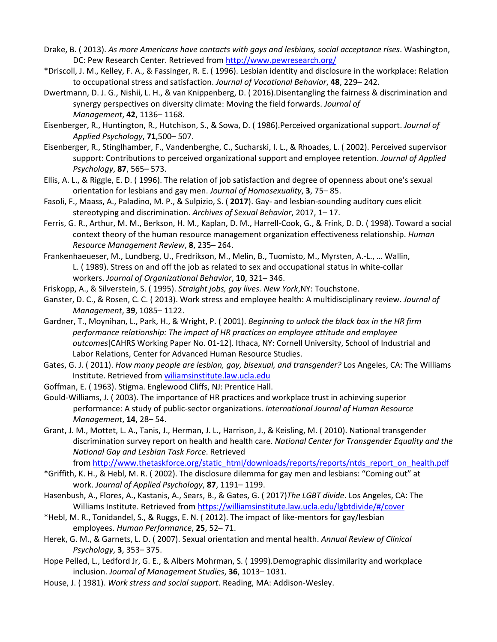- Drake, B. ( 2013). *As more Americans have contacts with gays and lesbians, social acceptance rises*. Washington, DC: Pew Research Center. Retrieved from <http://www.pewresearch.org/>
- \*Driscoll, J. M., Kelley, F. A., & Fassinger, R. E. ( 1996). Lesbian identity and disclosure in the workplace: Relation to occupational stress and satisfaction. *Journal of Vocational Behavior*, **48**, 229– 242.
- Dwertmann, D. J. G., Nishii, L. H., & van Knippenberg, D. ( 2016).Disentangling the fairness & discrimination and synergy perspectives on diversity climate: Moving the field forwards. *Journal of Management*, **42**, 1136– 1168.
- Eisenberger, R., Huntington, R., Hutchison, S., & Sowa, D. ( 1986).Perceived organizational support. *Journal of Applied Psychology*, **71**,500– 507.
- Eisenberger, R., Stinglhamber, F., Vandenberghe, C., Sucharski, I. L., & Rhoades, L. ( 2002). Perceived supervisor support: Contributions to perceived organizational support and employee retention. *Journal of Applied Psychology*, **87**, 565– 573.
- Ellis, A. L., & Riggle, E. D. ( 1996). The relation of job satisfaction and degree of openness about one's sexual orientation for lesbians and gay men. *Journal of Homosexuality*, **3**, 75– 85.
- Fasoli, F., Maass, A., Paladino, M. P., & Sulpizio, S. ( **2017**). Gay- and lesbian-sounding auditory cues elicit stereotyping and discrimination. *Archives of Sexual Behavior*, 2017, 1– 17.
- Ferris, G. R., Arthur, M. M., Berkson, H. M., Kaplan, D. M., Harrell-Cook, G., & Frink, D. D. ( 1998). Toward a social context theory of the human resource management organization effectiveness relationship. *Human Resource Management Review*, **8**, 235– 264.
- Frankenhaeueser, M., Lundberg, U., Fredrikson, M., Melin, B., Tuomisto, M., Myrsten, A.-L., … Wallin, L. ( 1989). Stress on and off the job as related to sex and occupational status in white-collar workers. *Journal of Organizational Behavior*, **10**, 321– 346.
- Friskopp, A., & Silverstein, S. ( 1995). *Straight jobs, gay lives. New York*,NY: Touchstone.
- Ganster, D. C., & Rosen, C. C. ( 2013). Work stress and employee health: A multidisciplinary review. *Journal of Management*, **39**, 1085– 1122.
- Gardner, T., Moynihan, L., Park, H., & Wright, P. ( 2001). *Beginning to unlock the black box in the HR firm performance relationship: The impact of HR practices on employee attitude and employee outcomes*[CAHRS Working Paper No. 01-12]. Ithaca, NY: Cornell University, School of Industrial and Labor Relations, Center for Advanced Human Resource Studies.
- Gates, G. J. ( 2011). *How many people are lesbian, gay, bisexual, and transgender?* Los Angeles, CA: The Williams Institute. Retrieved from [wiliamsinstitute.law.ucla.edu](http://wiliamsinstitute.law.ucla.edu/)
- Goffman, E. ( 1963). Stigma. Englewood Cliffs, NJ: Prentice Hall.
- Gould-Williams, J. ( 2003). The importance of HR practices and workplace trust in achieving superior performance: A study of public-sector organizations. *International Journal of Human Resource Management*, **14**, 28– 54.
- Grant, J. M., Mottet, L. A., Tanis, J., Herman, J. L., Harrison, J., & Keisling, M. ( 2010). National transgender discrimination survey report on health and health care. *National Center for Transgender Equality and the National Gay and Lesbian Task Force*. Retrieved

from [http://www.thetaskforce.org/static\\_html/downloads/reports/reports/ntds\\_report\\_on\\_health.pdf](http://www.thetaskforce.org/static_html/downloads/reports/reports/ntds_report_on_health.pdf)

- \*Griffith, K. H., & Hebl, M. R. ( 2002). The disclosure dilemma for gay men and lesbians: "Coming out" at work. *Journal of Applied Psychology*, **87**, 1191– 1199.
- Hasenbush, A., Flores, A., Kastanis, A., Sears, B., & Gates, G. ( 2017)*The LGBT divide*. Los Angeles, CA: The Williams Institute. Retrieved from <https://williamsinstitute.law.ucla.edu/lgbtdivide/#/cover>
- \*Hebl, M. R., Tonidandel, S., & Ruggs, E. N. ( 2012). The impact of like-mentors for gay/lesbian employees. *Human Performance*, **25**, 52– 71.
- Herek, G. M., & Garnets, L. D. ( 2007). Sexual orientation and mental health. *Annual Review of Clinical Psychology*, **3**, 353– 375.
- Hope Pelled, L., Ledford Jr, G. E., & Albers Mohrman, S. ( 1999).Demographic dissimilarity and workplace inclusion. *Journal of Management Studies*, **36**, 1013– 1031.
- House, J. ( 1981). *Work stress and social support*. Reading, MA: Addison-Wesley.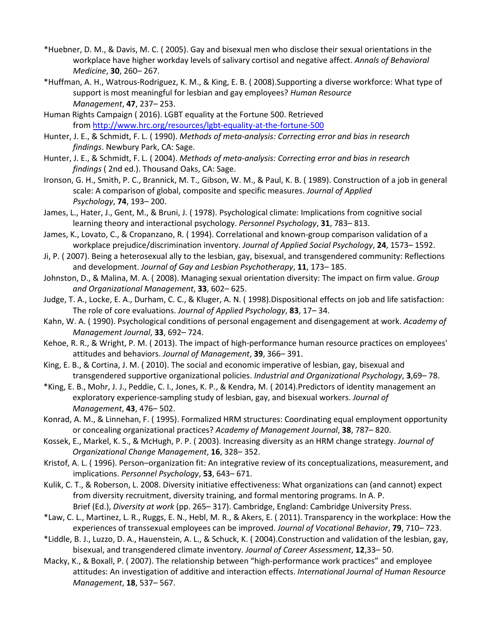- \*Huebner, D. M., & Davis, M. C. ( 2005). Gay and bisexual men who disclose their sexual orientations in the workplace have higher workday levels of salivary cortisol and negative affect. *Annals of Behavioral Medicine*, **30**, 260– 267.
- \*Huffman, A. H., Watrous-Rodriguez, K. M., & King, E. B. ( 2008).Supporting a diverse workforce: What type of support is most meaningful for lesbian and gay employees? *Human Resource Management*, **47**, 237– 253.
- Human Rights Campaign ( 2016). LGBT equality at the Fortune 500. Retrieved from <http://www.hrc.org/resources/lgbt-equality-at-the-fortune-500>
- Hunter, J. E., & Schmidt, F. L. ( 1990). *Methods of meta‐analysis: Correcting error and bias in research findings*. Newbury Park, CA: Sage.
- Hunter, J. E., & Schmidt, F. L. ( 2004). *Methods of meta‐analysis: Correcting error and bias in research findings* ( 2nd ed.). Thousand Oaks, CA: Sage.
- Ironson, G. H., Smith, P. C., Brannick, M. T., Gibson, W. M., & Paul, K. B. ( 1989). Construction of a job in general scale: A comparison of global, composite and specific measures. *Journal of Applied Psychology*, **74**, 193– 200.
- James, L., Hater, J., Gent, M., & Bruni, J. ( 1978). Psychological climate: Implications from cognitive social learning theory and interactional psychology. *Personnel Psychology*, **31**, 783– 813.
- James, K., Lovato, C., & Cropanzano, R. ( 1994). Correlational and known-group comparison validation of a workplace prejudice/discrimination inventory. *Journal of Applied Social Psychology*, **24**, 1573– 1592.
- Ji, P. ( 2007). Being a heterosexual ally to the lesbian, gay, bisexual, and transgendered community: Reflections and development. *Journal of Gay and Lesbian Psychotherapy*, **11**, 173– 185.
- Johnston, D., & Malina, M. A. ( 2008). Managing sexual orientation diversity: The impact on firm value. *Group and Organizational Management*, **33**, 602– 625.
- Judge, T. A., Locke, E. A., Durham, C. C., & Kluger, A. N. ( 1998).Dispositional effects on job and life satisfaction: The role of core evaluations. *Journal of Applied Psychology*, **83**, 17– 34.
- Kahn, W. A. ( 1990). Psychological conditions of personal engagement and disengagement at work. *Academy of Management Journal*, **33**, 692– 724.
- Kehoe, R. R., & Wright, P. M. ( 2013). The impact of high-performance human resource practices on employees' attitudes and behaviors. *Journal of Management*, **39**, 366– 391.
- King, E. B., & Cortina, J. M. ( 2010). The social and economic imperative of lesbian, gay, bisexual and transgendered supportive organizational policies. *Industrial and Organizational Psychology*, **3**,69– 78.
- \*King, E. B., Mohr, J. J., Peddie, C. I., Jones, K. P., & Kendra, M. ( 2014).Predictors of identity management an exploratory experience-sampling study of lesbian, gay, and bisexual workers. *Journal of Management*, **43**, 476– 502.
- Konrad, A. M., & Linnehan, F. ( 1995). Formalized HRM structures: Coordinating equal employment opportunity or concealing organizational practices? *Academy of Management Journal*, **38**, 787– 820.
- Kossek, E., Markel, K. S., & McHugh, P. P. ( 2003). Increasing diversity as an HRM change strategy. *Journal of Organizational Change Management*, **16**, 328– 352.
- Kristof, A. L. ( 1996). Person–organization fit: An integrative review of its conceptualizations, measurement, and implications. *Personnel Psychology*, **53**, 643– 671.
- Kulik, C. T., & Roberson, L. 2008. Diversity initiative effectiveness: What organizations can (and cannot) expect from diversity recruitment, diversity training, and formal mentoring programs. In A. P. Brief (Ed.), *Diversity at work* (pp. 265– 317). Cambridge, England: Cambridge University Press.
- \*Law, C. L., Martinez, L. R., Ruggs, E. N., Hebl, M. R., & Akers, E. ( 2011). Transparency in the workplace: How the experiences of transsexual employees can be improved. *Journal of Vocational Behavior*, **79**, 710– 723.
- \*Liddle, B. J., Luzzo, D. A., Hauenstein, A. L., & Schuck, K. ( 2004).Construction and validation of the lesbian, gay, bisexual, and transgendered climate inventory. *Journal of Career Assessment*, **12**,33– 50.
- Macky, K., & Boxall, P. ( 2007). The relationship between "high-performance work practices" and employee attitudes: An investigation of additive and interaction effects. *International Journal of Human Resource Management*, **18**, 537– 567.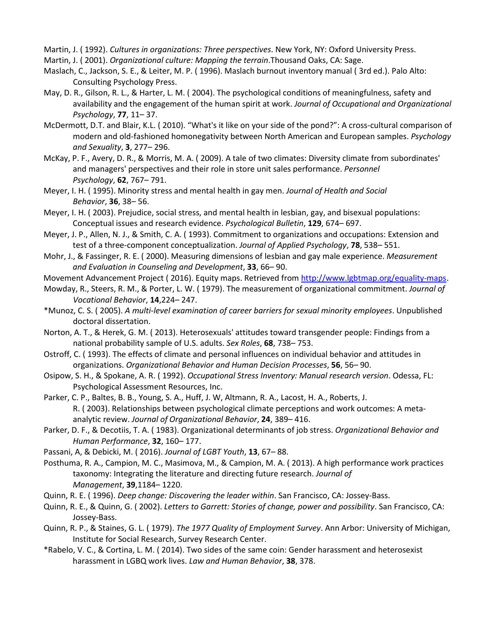Martin, J. ( 1992). *Cultures in organizations: Three perspectives*. New York, NY: Oxford University Press.

- Martin, J. ( 2001). *Organizational culture: Mapping the terrain*.Thousand Oaks, CA: Sage.
- Maslach, C., Jackson, S. E., & Leiter, M. P. ( 1996). Maslach burnout inventory manual ( 3rd ed.). Palo Alto: Consulting Psychology Press.
- May, D. R., Gilson, R. L., & Harter, L. M. ( 2004). The psychological conditions of meaningfulness, safety and availability and the engagement of the human spirit at work. *Journal of Occupational and Organizational Psychology*, **77**, 11– 37.
- McDermott, D.T. and Blair, K.L. ( 2010). "What's it like on your side of the pond?": A cross-cultural comparison of modern and old-fashioned homonegativity between North American and European samples. *Psychology and Sexuality*, **3**, 277– 296.
- McKay, P. F., Avery, D. R., & Morris, M. A. ( 2009). A tale of two climates: Diversity climate from subordinates' and managers' perspectives and their role in store unit sales performance. *Personnel Psychology*, **62**, 767– 791.
- Meyer, I. H. ( 1995). Minority stress and mental health in gay men. *Journal of Health and Social Behavior*, **36**, 38– 56.
- Meyer, I. H. ( 2003). Prejudice, social stress, and mental health in lesbian, gay, and bisexual populations: Conceptual issues and research evidence. *Psychological Bulletin*, **129**, 674– 697.
- Meyer, J. P., Allen, N. J., & Smith, C. A. ( 1993). Commitment to organizations and occupations: Extension and test of a three-component conceptualization. *Journal of Applied Psychology*, **78**, 538– 551.
- Mohr, J., & Fassinger, R. E. ( 2000). Measuring dimensions of lesbian and gay male experience. *Measurement and Evaluation in Counseling and Development*, **33**, 66– 90.
- Movement Advancement Project ( 2016). Equity maps. Retrieved from [http://www.lgbtmap.org/equality-maps.](http://www.lgbtmap.org/equality-maps)
- Mowday, R., Steers, R. M., & Porter, L. W. ( 1979). The measurement of organizational commitment. *Journal of Vocational Behavior*, **14**,224– 247.
- \*Munoz, C. S. ( 2005). *A multi‐level examination of career barriers for sexual minority employees*. Unpublished doctoral dissertation.
- Norton, A. T., & Herek, G. M. ( 2013). Heterosexuals' attitudes toward transgender people: Findings from a national probability sample of U.S. adults. *Sex Roles*, **68**, 738– 753.
- Ostroff, C. ( 1993). The effects of climate and personal influences on individual behavior and attitudes in organizations. *Organizational Behavior and Human Decision Processes*, **56**, 56– 90.
- Osipow, S. H., & Spokane, A. R. ( 1992). *Occupational Stress Inventory: Manual research version*. Odessa, FL: Psychological Assessment Resources, Inc.
- Parker, C. P., Baltes, B. B., Young, S. A., Huff, J. W, Altmann, R. A., Lacost, H. A., Roberts, J. R. ( 2003). Relationships between psychological climate perceptions and work outcomes: A metaanalytic review. *Journal of Organizational Behavior*, **24**, 389– 416.
- Parker, D. F., & Decotiis, T. A. ( 1983). Organizational determinants of job stress. *Organizational Behavior and Human Performance*, **32**, 160– 177.
- Passani, A, & Debicki, M. ( 2016). *Journal of LGBT Youth*, **13**, 67– 88.
- Posthuma, R. A., Campion, M. C., Masimova, M., & Campion, M. A. ( 2013). A high performance work practices taxonomy: Integrating the literature and directing future research. *Journal of Management*, **39**,1184– 1220.
- Quinn, R. E. ( 1996). *Deep change: Discovering the leader within*. San Francisco, CA: Jossey-Bass.
- Quinn, R. E., & Quinn, G. ( 2002). *Letters to Garrett: Stories of change, power and possibility*. San Francisco, CA: Jossey-Bass.
- Quinn, R. P., & Staines, G. L. ( 1979). *The 1977 Quality of Employment Survey*. Ann Arbor: University of Michigan, Institute for Social Research, Survey Research Center.
- \*Rabelo, V. C., & Cortina, L. M. ( 2014). Two sides of the same coin: Gender harassment and heterosexist harassment in LGBQ work lives. *Law and Human Behavior*, **38**, 378.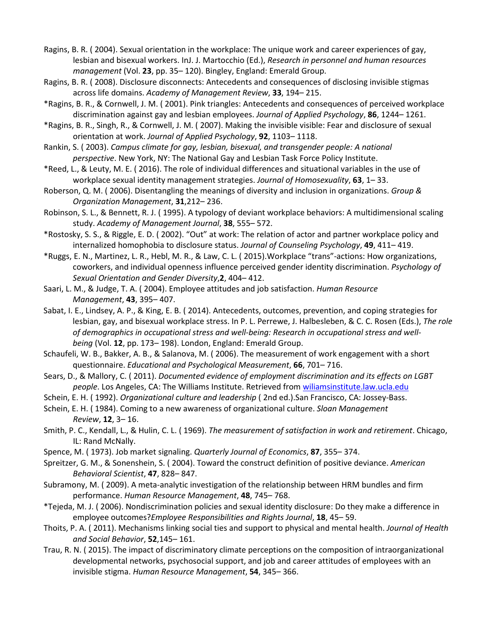- Ragins, B. R. ( 2004). Sexual orientation in the workplace: The unique work and career experiences of gay, lesbian and bisexual workers. InJ. J. Martocchio (Ed.), *Research in personnel and human resources management* (Vol. **23**, pp. 35– 120). Bingley, England: Emerald Group.
- Ragins, B. R. ( 2008). Disclosure disconnects: Antecedents and consequences of disclosing invisible stigmas across life domains. *Academy of Management Review*, **33**, 194– 215.
- \*Ragins, B. R., & Cornwell, J. M. ( 2001). Pink triangles: Antecedents and consequences of perceived workplace discrimination against gay and lesbian employees. *Journal of Applied Psychology*, **86**, 1244– 1261.
- \*Ragins, B. R., Singh, R., & Cornwell, J. M. ( 2007). Making the invisible visible: Fear and disclosure of sexual orientation at work. *Journal of Applied Psychology*, **92**, 1103– 1118.
- Rankin, S. ( 2003). *Campus climate for gay, lesbian, bisexual, and transgender people: A national perspective*. New York, NY: The National Gay and Lesbian Task Force Policy Institute.
- \*Reed, L., & Leuty, M. E. ( 2016). The role of individual differences and situational variables in the use of workplace sexual identity management strategies. *Journal of Homosexuality*, **63**, 1– 33.
- Roberson, Q. M. ( 2006). Disentangling the meanings of diversity and inclusion in organizations. *Group & Organization Management*, **31**,212– 236.
- Robinson, S. L., & Bennett, R. J. ( 1995). A typology of deviant workplace behaviors: A multidimensional scaling study. *Academy of Management Journal*, **38**, 555– 572.
- \*Rostosky, S. S., & Riggle, E. D. ( 2002). "Out" at work: The relation of actor and partner workplace policy and internalized homophobia to disclosure status. *Journal of Counseling Psychology*, **49**, 411– 419.
- \*Ruggs, E. N., Martinez, L. R., Hebl, M. R., & Law, C. L. ( 2015).Workplace "trans"-actions: How organizations, coworkers, and individual openness influence perceived gender identity discrimination. *Psychology of Sexual Orientation and Gender Diversity*,**2**, 404– 412.
- Saari, L. M., & Judge, T. A. ( 2004). Employee attitudes and job satisfaction. *Human Resource Management*, **43**, 395– 407.
- Sabat, I. E., Lindsey, A. P., & King, E. B. ( 2014). Antecedents, outcomes, prevention, and coping strategies for lesbian, gay, and bisexual workplace stress. In P. L. Perrewe, J. Halbesleben, & C. C. Rosen (Eds.), *The role of demographics in occupational stress and well‐being: Research in occupational stress and well‐ being* (Vol. **12**, pp. 173– 198). London, England: Emerald Group.
- Schaufeli, W. B., Bakker, A. B., & Salanova, M. ( 2006). The measurement of work engagement with a short questionnaire. *Educational and Psychological Measurement*, **66**, 701– 716.
- Sears, D., & Mallory, C. ( 2011). *Documented evidence of employment discrimination and its effects on LGBT people*. Los Angeles, CA: The Williams Institute. Retrieved from [wiliamsinstitute.law.ucla.edu](http://wiliamsinstitute.law.ucla.edu/)
- Schein, E. H. ( 1992). *Organizational culture and leadership* ( 2nd ed.).San Francisco, CA: Jossey-Bass.
- Schein, E. H. ( 1984). Coming to a new awareness of organizational culture. *Sloan Management Review*, **12**, 3– 16.
- Smith, P. C., Kendall, L., & Hulin, C. L. ( 1969). *The measurement of satisfaction in work and retirement*. Chicago, IL: Rand McNally.
- Spence, M. ( 1973). Job market signaling. *Quarterly Journal of Economics*, **87**, 355– 374.
- Spreitzer, G. M., & Sonenshein, S. ( 2004). Toward the construct definition of positive deviance. *American Behavioral Scientist*, **47**, 828– 847.
- Subramony, M. ( 2009). A meta-analytic investigation of the relationship between HRM bundles and firm performance. *Human Resource Management*, **48**, 745– 768.
- \*Tejeda, M. J. ( 2006). Nondiscrimination policies and sexual identity disclosure: Do they make a difference in employee outcomes?*Employee Responsibilities and Rights Journal*, **18**, 45– 59.
- Thoits, P. A. ( 2011). Mechanisms linking social ties and support to physical and mental health. *Journal of Health and Social Behavior*, **52**,145– 161.
- Trau, R. N. ( 2015). The impact of discriminatory climate perceptions on the composition of intraorganizational developmental networks, psychosocial support, and job and career attitudes of employees with an invisible stigma. *Human Resource Management*, **54**, 345– 366.